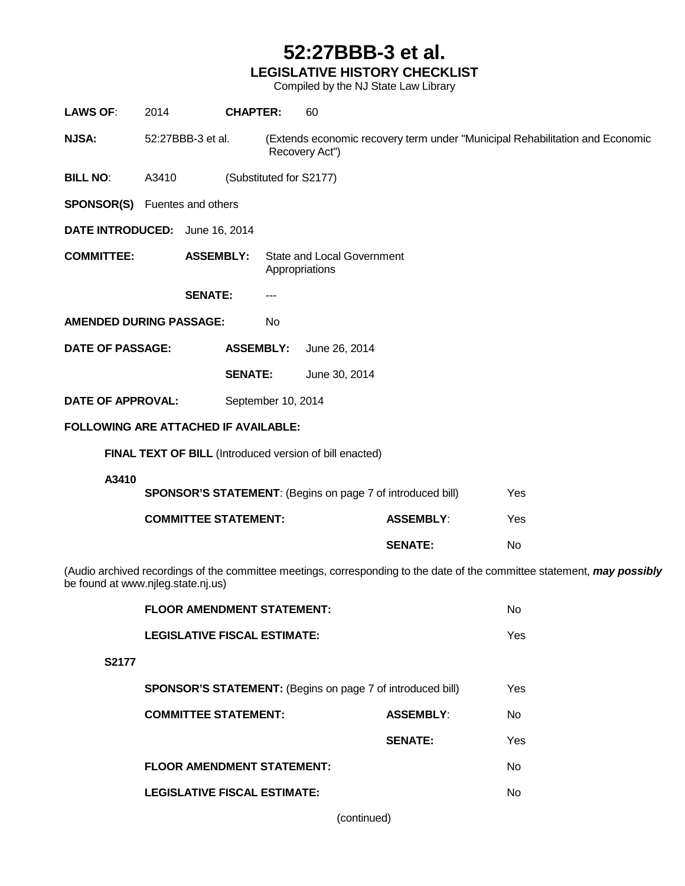#### **52:27BBB-3 et al. LEGISLATIVE HISTORY CHECKLIST**

Compiled by the NJ State Law Library

| <b>LAWS OF:</b>                                                                                                                                                | 2014  |                                     | <b>CHAPTER:</b>                                                                                | 60                                                                |                  |     |  |
|----------------------------------------------------------------------------------------------------------------------------------------------------------------|-------|-------------------------------------|------------------------------------------------------------------------------------------------|-------------------------------------------------------------------|------------------|-----|--|
| <b>NJSA:</b><br>52:27BBB-3 et al.                                                                                                                              |       |                                     | (Extends economic recovery term under "Municipal Rehabilitation and Economic<br>Recovery Act") |                                                                   |                  |     |  |
| <b>BILL NO:</b>                                                                                                                                                | A3410 |                                     | (Substituted for S2177)                                                                        |                                                                   |                  |     |  |
| <b>SPONSOR(S)</b> Fuentes and others                                                                                                                           |       |                                     |                                                                                                |                                                                   |                  |     |  |
| DATE INTRODUCED: June 16, 2014                                                                                                                                 |       |                                     |                                                                                                |                                                                   |                  |     |  |
| <b>COMMITTEE:</b>                                                                                                                                              |       | <b>ASSEMBLY:</b>                    |                                                                                                | <b>State and Local Government</b><br>Appropriations               |                  |     |  |
|                                                                                                                                                                |       | <b>SENATE:</b>                      | $---$                                                                                          |                                                                   |                  |     |  |
| <b>AMENDED DURING PASSAGE:</b>                                                                                                                                 |       | No.                                 |                                                                                                |                                                                   |                  |     |  |
| <b>DATE OF PASSAGE:</b>                                                                                                                                        |       | <b>ASSEMBLY:</b>                    | June 26, 2014                                                                                  |                                                                   |                  |     |  |
|                                                                                                                                                                |       |                                     | <b>SENATE:</b>                                                                                 | June 30, 2014                                                     |                  |     |  |
| <b>DATE OF APPROVAL:</b>                                                                                                                                       |       |                                     | September 10, 2014                                                                             |                                                                   |                  |     |  |
| FOLLOWING ARE ATTACHED IF AVAILABLE:                                                                                                                           |       |                                     |                                                                                                |                                                                   |                  |     |  |
|                                                                                                                                                                |       |                                     |                                                                                                | FINAL TEXT OF BILL (Introduced version of bill enacted)           |                  |     |  |
| A3410                                                                                                                                                          |       |                                     |                                                                                                | <b>SPONSOR'S STATEMENT:</b> (Begins on page 7 of introduced bill) |                  | Yes |  |
|                                                                                                                                                                |       | <b>COMMITTEE STATEMENT:</b>         |                                                                                                |                                                                   | <b>ASSEMBLY:</b> | Yes |  |
|                                                                                                                                                                |       |                                     |                                                                                                |                                                                   | <b>SENATE:</b>   | No  |  |
| (Audio archived recordings of the committee meetings, corresponding to the date of the committee statement, may possibly<br>be found at www.njleg.state.nj.us) |       |                                     |                                                                                                |                                                                   |                  |     |  |
|                                                                                                                                                                |       | <b>FLOOR AMENDMENT STATEMENT:</b>   |                                                                                                |                                                                   |                  | No  |  |
|                                                                                                                                                                |       | <b>LEGISLATIVE FISCAL ESTIMATE:</b> |                                                                                                |                                                                   |                  | Yes |  |
| S2177                                                                                                                                                          |       |                                     |                                                                                                |                                                                   |                  |     |  |
| SPONSOR'S STATEMENT: (Begins on page 7 of introduced bill)                                                                                                     |       |                                     |                                                                                                |                                                                   |                  | Yes |  |

|    | <b>FLOOR AMENDMENT STATEMENT:</b>                                 |                  | N٥             |
|----|-------------------------------------------------------------------|------------------|----------------|
|    | <b>LEGISLATIVE FISCAL ESTIMATE:</b>                               |                  | Yes.           |
| 77 |                                                                   |                  |                |
|    | <b>SPONSOR'S STATEMENT:</b> (Begins on page 7 of introduced bill) |                  | Yes.           |
|    | <b>COMMITTEE STATEMENT:</b>                                       | <b>ASSEMBLY:</b> | No.            |
|    |                                                                   | <b>SENATE:</b>   | Yes            |
|    | <b>FLOOR AMENDMENT STATEMENT:</b>                                 |                  | N <sub>0</sub> |
|    | <b>LEGISLATIVE FISCAL ESTIMATE:</b>                               |                  | Nο             |
|    |                                                                   |                  |                |

(continued)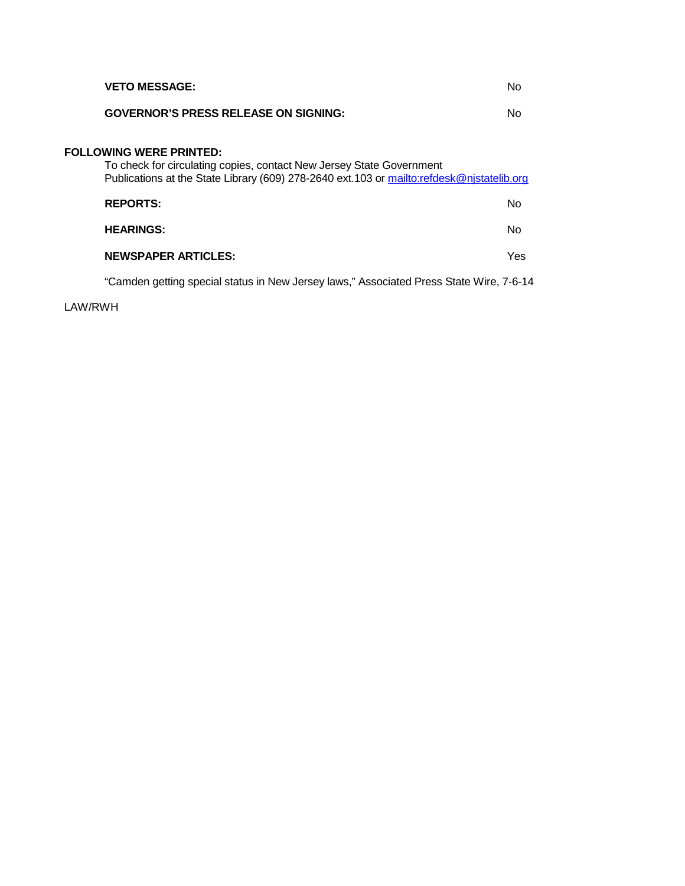| Nο                                                                                        |
|-------------------------------------------------------------------------------------------|
| Publications at the State Library (609) 278-2640 ext.103 or mailto:refdesk@njstatelib.org |
| No                                                                                        |
| Nο                                                                                        |
| Yes                                                                                       |
|                                                                                           |

"Camden getting special status in New Jersey laws," Associated Press State Wire, 7-6-14

LAW/RWH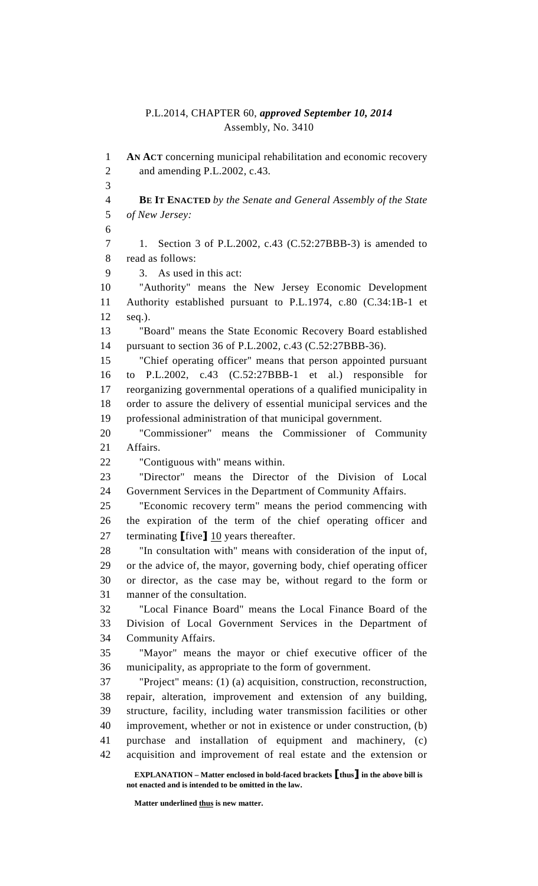#### P.L.2014, CHAPTER 60, *approved September 10, 2014* Assembly, No. 3410

 **EXPLANATION – Matter enclosed in bold-faced brackets** [**thus**] **in the above bill is not enacted and is intended to be omitted in the law.**  1 **AN ACT** concerning municipal rehabilitation and economic recovery 2 and amending P.L.2002, c.43. 3 4 **BE IT ENACTED** *by the Senate and General Assembly of the State*  5 *of New Jersey:* 6 7 1. Section 3 of P.L.2002, c.43 (C.52:27BBB-3) is amended to 8 read as follows: 9 3. As used in this act: 10 "Authority" means the New Jersey Economic Development 11 Authority established pursuant to P.L.1974, c.80 (C.34:1B-1 et 12 seq.). 13 "Board" means the State Economic Recovery Board established 14 pursuant to section 36 of P.L.2002, c.43 (C.52:27BBB-36). 15 "Chief operating officer" means that person appointed pursuant 16 to P.L.2002, c.43 (C.52:27BBB-1 et al.) responsible for 17 reorganizing governmental operations of a qualified municipality in 18 order to assure the delivery of essential municipal services and the 19 professional administration of that municipal government. 20 "Commissioner" means the Commissioner of Community 21 Affairs. 22 "Contiguous with" means within. 23 "Director" means the Director of the Division of Local 24 Government Services in the Department of Community Affairs. 25 "Economic recovery term" means the period commencing with 26 the expiration of the term of the chief operating officer and 27 terminating [five] 10 years thereafter. 28 "In consultation with" means with consideration of the input of, 29 or the advice of, the mayor, governing body, chief operating officer 30 or director, as the case may be, without regard to the form or 31 manner of the consultation. 32 "Local Finance Board" means the Local Finance Board of the 33 Division of Local Government Services in the Department of 34 Community Affairs. 35 "Mayor" means the mayor or chief executive officer of the 36 municipality, as appropriate to the form of government. 37 "Project" means: (1) (a) acquisition, construction, reconstruction, 38 repair, alteration, improvement and extension of any building, 39 structure, facility, including water transmission facilities or other 40 improvement, whether or not in existence or under construction, (b) 41 purchase and installation of equipment and machinery, (c) 42 acquisition and improvement of real estate and the extension or

 **Matter underlined thus is new matter.**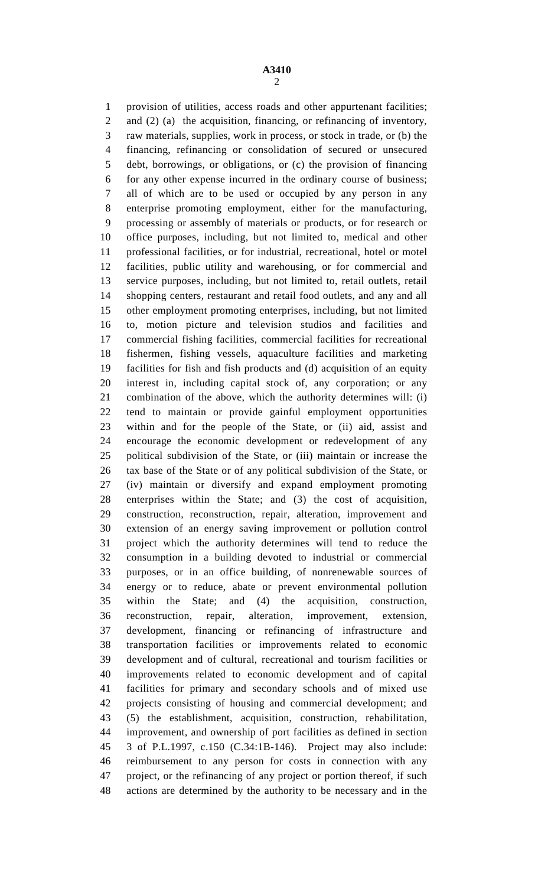1 provision of utilities, access roads and other appurtenant facilities; 2 and (2) (a) the acquisition, financing, or refinancing of inventory, 3 raw materials, supplies, work in process, or stock in trade, or (b) the 4 financing, refinancing or consolidation of secured or unsecured 5 debt, borrowings, or obligations, or (c) the provision of financing 6 for any other expense incurred in the ordinary course of business; 7 all of which are to be used or occupied by any person in any 8 enterprise promoting employment, either for the manufacturing, 9 processing or assembly of materials or products, or for research or 10 office purposes, including, but not limited to, medical and other 11 professional facilities, or for industrial, recreational, hotel or motel 12 facilities, public utility and warehousing, or for commercial and 13 service purposes, including, but not limited to, retail outlets, retail 14 shopping centers, restaurant and retail food outlets, and any and all 15 other employment promoting enterprises, including, but not limited 16 to, motion picture and television studios and facilities and 17 commercial fishing facilities, commercial facilities for recreational 18 fishermen, fishing vessels, aquaculture facilities and marketing 19 facilities for fish and fish products and (d) acquisition of an equity 20 interest in, including capital stock of, any corporation; or any 21 combination of the above, which the authority determines will: (i) 22 tend to maintain or provide gainful employment opportunities 23 within and for the people of the State, or (ii) aid, assist and 24 encourage the economic development or redevelopment of any 25 political subdivision of the State, or (iii) maintain or increase the 26 tax base of the State or of any political subdivision of the State, or 27 (iv) maintain or diversify and expand employment promoting 28 enterprises within the State; and (3) the cost of acquisition, 29 construction, reconstruction, repair, alteration, improvement and 30 extension of an energy saving improvement or pollution control 31 project which the authority determines will tend to reduce the 32 consumption in a building devoted to industrial or commercial 33 purposes, or in an office building, of nonrenewable sources of 34 energy or to reduce, abate or prevent environmental pollution 35 within the State; and (4) the acquisition, construction, 36 reconstruction, repair, alteration, improvement, extension, 37 development, financing or refinancing of infrastructure and 38 transportation facilities or improvements related to economic 39 development and of cultural, recreational and tourism facilities or 40 improvements related to economic development and of capital 41 facilities for primary and secondary schools and of mixed use 42 projects consisting of housing and commercial development; and 43 (5) the establishment, acquisition, construction, rehabilitation, 44 improvement, and ownership of port facilities as defined in section 45 3 of P.L.1997, c.150 (C.34:1B-146). Project may also include: 46 reimbursement to any person for costs in connection with any 47 project, or the refinancing of any project or portion thereof, if such 48 actions are determined by the authority to be necessary and in the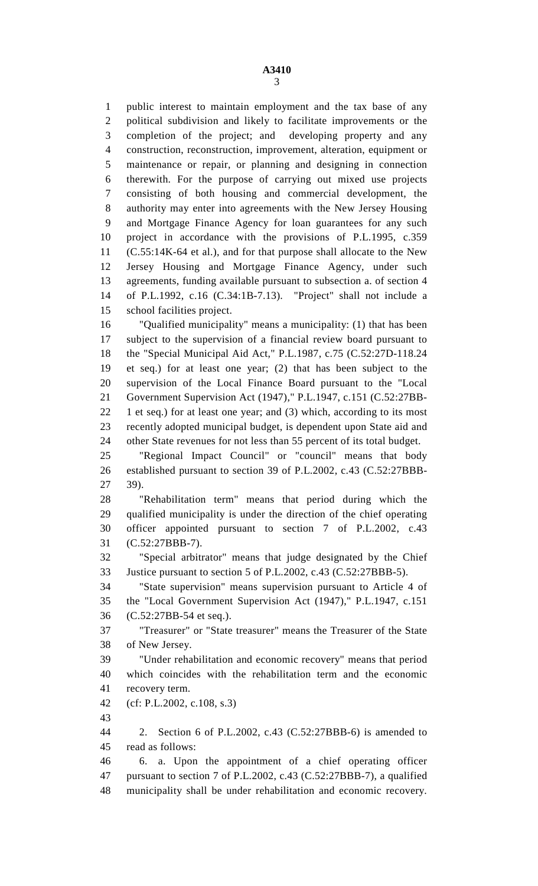1 public interest to maintain employment and the tax base of any 2 political subdivision and likely to facilitate improvements or the 3 completion of the project; and developing property and any 4 construction, reconstruction, improvement, alteration, equipment or 5 maintenance or repair, or planning and designing in connection 6 therewith. For the purpose of carrying out mixed use projects 7 consisting of both housing and commercial development, the 8 authority may enter into agreements with the New Jersey Housing 9 and Mortgage Finance Agency for loan guarantees for any such 10 project in accordance with the provisions of P.L.1995, c.359 11 (C.55:14K-64 et al.), and for that purpose shall allocate to the New 12 Jersey Housing and Mortgage Finance Agency, under such 13 agreements, funding available pursuant to subsection a. of section 4 14 of P.L.1992, c.16 (C.34:1B-7.13). "Project" shall not include a 15 school facilities project. 16 "Qualified municipality" means a municipality: (1) that has been 17 subject to the supervision of a financial review board pursuant to

18 the "Special Municipal Aid Act," P.L.1987, c.75 (C.52:27D-118.24 19 et seq.) for at least one year; (2) that has been subject to the 20 supervision of the Local Finance Board pursuant to the "Local 21 Government Supervision Act (1947)," P.L.1947, c.151 (C.52:27BB-22 1 et seq.) for at least one year; and (3) which, according to its most 23 recently adopted municipal budget, is dependent upon State aid and 24 other State revenues for not less than 55 percent of its total budget.

25 "Regional Impact Council" or "council" means that body 26 established pursuant to section 39 of P.L.2002, c.43 (C.52:27BBB-27 39).

28 "Rehabilitation term" means that period during which the 29 qualified municipality is under the direction of the chief operating 30 officer appointed pursuant to section 7 of P.L.2002, c.43 31 (C.52:27BBB-7).

32 "Special arbitrator" means that judge designated by the Chief 33 Justice pursuant to section 5 of P.L.2002, c.43 (C.52:27BBB-5).

34 "State supervision" means supervision pursuant to Article 4 of 35 the "Local Government Supervision Act (1947)," P.L.1947, c.151 36 (C.52:27BB-54 et seq.).

37 "Treasurer" or "State treasurer" means the Treasurer of the State 38 of New Jersey.

39 "Under rehabilitation and economic recovery" means that period 40 which coincides with the rehabilitation term and the economic 41 recovery term.

42 (cf: P.L.2002, c.108, s.3)

43

44 2. Section 6 of P.L.2002, c.43 (C.52:27BBB-6) is amended to 45 read as follows:

46 6. a. Upon the appointment of a chief operating officer 47 pursuant to section 7 of P.L.2002, c.43 (C.52:27BBB-7), a qualified 48 municipality shall be under rehabilitation and economic recovery.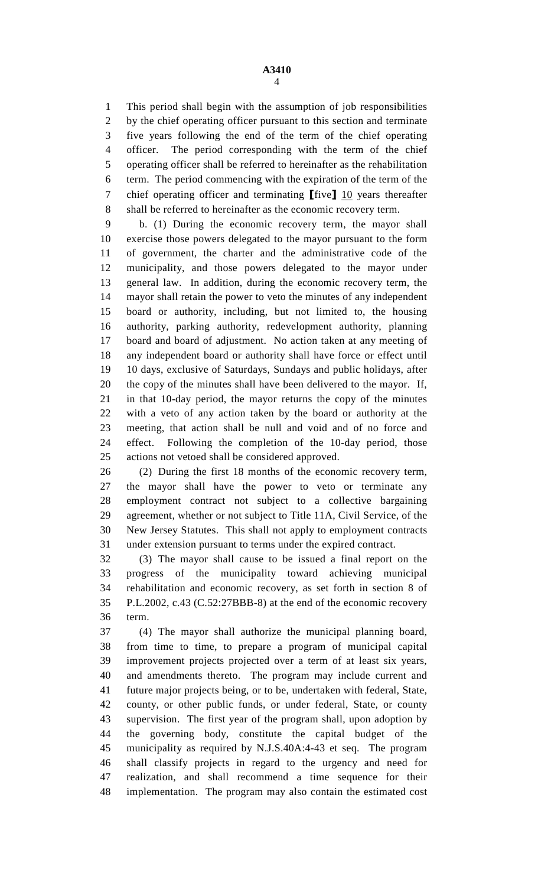1 This period shall begin with the assumption of job responsibilities 2 by the chief operating officer pursuant to this section and terminate 3 five years following the end of the term of the chief operating 4 officer. The period corresponding with the term of the chief 5 operating officer shall be referred to hereinafter as the rehabilitation 6 term. The period commencing with the expiration of the term of the 7 chief operating officer and terminating  $[\text{five}]$  10 years thereafter 8 shall be referred to hereinafter as the economic recovery term.

9 b. (1) During the economic recovery term, the mayor shall 10 exercise those powers delegated to the mayor pursuant to the form 11 of government, the charter and the administrative code of the 12 municipality, and those powers delegated to the mayor under 13 general law. In addition, during the economic recovery term, the 14 mayor shall retain the power to veto the minutes of any independent 15 board or authority, including, but not limited to, the housing 16 authority, parking authority, redevelopment authority, planning 17 board and board of adjustment. No action taken at any meeting of 18 any independent board or authority shall have force or effect until 19 10 days, exclusive of Saturdays, Sundays and public holidays, after 20 the copy of the minutes shall have been delivered to the mayor. If, 21 in that 10-day period, the mayor returns the copy of the minutes 22 with a veto of any action taken by the board or authority at the 23 meeting, that action shall be null and void and of no force and 24 effect. Following the completion of the 10-day period, those 25 actions not vetoed shall be considered approved.

26 (2) During the first 18 months of the economic recovery term, 27 the mayor shall have the power to veto or terminate any 28 employment contract not subject to a collective bargaining 29 agreement, whether or not subject to Title 11A, Civil Service, of the 30 New Jersey Statutes. This shall not apply to employment contracts 31 under extension pursuant to terms under the expired contract.

32 (3) The mayor shall cause to be issued a final report on the 33 progress of the municipality toward achieving municipal 34 rehabilitation and economic recovery, as set forth in section 8 of 35 P.L.2002, c.43 (C.52:27BBB-8) at the end of the economic recovery 36 term.

37 (4) The mayor shall authorize the municipal planning board, 38 from time to time, to prepare a program of municipal capital 39 improvement projects projected over a term of at least six years, 40 and amendments thereto. The program may include current and 41 future major projects being, or to be, undertaken with federal, State, 42 county, or other public funds, or under federal, State, or county 43 supervision. The first year of the program shall, upon adoption by 44 the governing body, constitute the capital budget of the 45 municipality as required by N.J.S.40A:4-43 et seq. The program 46 shall classify projects in regard to the urgency and need for 47 realization, and shall recommend a time sequence for their 48 implementation. The program may also contain the estimated cost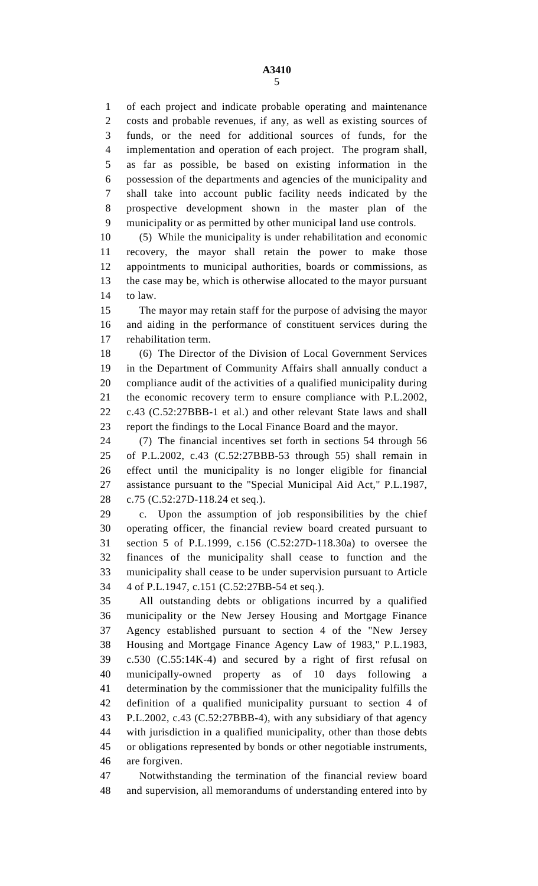1 of each project and indicate probable operating and maintenance 2 costs and probable revenues, if any, as well as existing sources of 3 funds, or the need for additional sources of funds, for the 4 implementation and operation of each project. The program shall, 5 as far as possible, be based on existing information in the 6 possession of the departments and agencies of the municipality and 7 shall take into account public facility needs indicated by the 8 prospective development shown in the master plan of the 9 municipality or as permitted by other municipal land use controls.

10 (5) While the municipality is under rehabilitation and economic 11 recovery, the mayor shall retain the power to make those 12 appointments to municipal authorities, boards or commissions, as 13 the case may be, which is otherwise allocated to the mayor pursuant 14 to law.

15 The mayor may retain staff for the purpose of advising the mayor 16 and aiding in the performance of constituent services during the 17 rehabilitation term.

18 (6) The Director of the Division of Local Government Services 19 in the Department of Community Affairs shall annually conduct a 20 compliance audit of the activities of a qualified municipality during 21 the economic recovery term to ensure compliance with P.L.2002, 22 c.43 (C.52:27BBB-1 et al.) and other relevant State laws and shall 23 report the findings to the Local Finance Board and the mayor.

24 (7) The financial incentives set forth in sections 54 through 56 25 of P.L.2002, c.43 (C.52:27BBB-53 through 55) shall remain in 26 effect until the municipality is no longer eligible for financial 27 assistance pursuant to the "Special Municipal Aid Act," P.L.1987, 28 c.75 (C.52:27D-118.24 et seq.).

29 c. Upon the assumption of job responsibilities by the chief 30 operating officer, the financial review board created pursuant to 31 section 5 of P.L.1999, c.156 (C.52:27D-118.30a) to oversee the 32 finances of the municipality shall cease to function and the 33 municipality shall cease to be under supervision pursuant to Article 34 4 of P.L.1947, c.151 (C.52:27BB-54 et seq.).

35 All outstanding debts or obligations incurred by a qualified 36 municipality or the New Jersey Housing and Mortgage Finance 37 Agency established pursuant to section 4 of the "New Jersey 38 Housing and Mortgage Finance Agency Law of 1983," P.L.1983, 39 c.530 (C.55:14K-4) and secured by a right of first refusal on 40 municipally-owned property as of 10 days following a 41 determination by the commissioner that the municipality fulfills the 42 definition of a qualified municipality pursuant to section 4 of 43 P.L.2002, c.43 (C.52:27BBB-4), with any subsidiary of that agency 44 with jurisdiction in a qualified municipality, other than those debts 45 or obligations represented by bonds or other negotiable instruments, 46 are forgiven.

47 Notwithstanding the termination of the financial review board 48 and supervision, all memorandums of understanding entered into by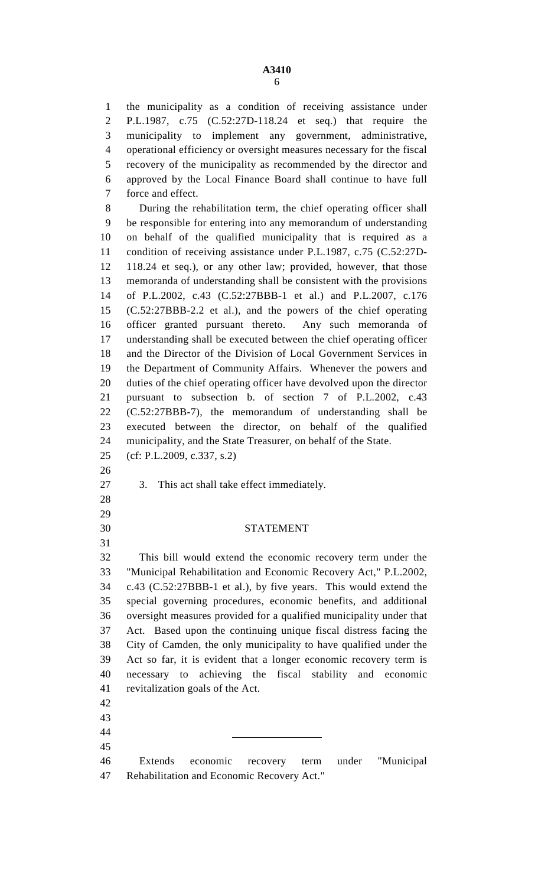1 the municipality as a condition of receiving assistance under 2 P.L.1987, c.75 (C.52:27D-118.24 et seq.) that require the 3 municipality to implement any government, administrative, 4 operational efficiency or oversight measures necessary for the fiscal 5 recovery of the municipality as recommended by the director and 6 approved by the Local Finance Board shall continue to have full 7 force and effect.

8 During the rehabilitation term, the chief operating officer shall 9 be responsible for entering into any memorandum of understanding 10 on behalf of the qualified municipality that is required as a 11 condition of receiving assistance under P.L.1987, c.75 (C.52:27D-12 118.24 et seq.), or any other law; provided, however, that those 13 memoranda of understanding shall be consistent with the provisions 14 of P.L.2002, c.43 (C.52:27BBB-1 et al.) and P.L.2007, c.176 15 (C.52:27BBB-2.2 et al.), and the powers of the chief operating 16 officer granted pursuant thereto. Any such memoranda of 17 understanding shall be executed between the chief operating officer 18 and the Director of the Division of Local Government Services in 19 the Department of Community Affairs. Whenever the powers and 20 duties of the chief operating officer have devolved upon the director 21 pursuant to subsection b. of section 7 of P.L.2002, c.43 22 (C.52:27BBB-7), the memorandum of understanding shall be 23 executed between the director, on behalf of the qualified 24 municipality, and the State Treasurer, on behalf of the State.

25 (cf: P.L.2009, c.337, s.2)

26

28 29

31

27 3. This act shall take effect immediately.

#### 30 STATEMENT

32 This bill would extend the economic recovery term under the 33 "Municipal Rehabilitation and Economic Recovery Act," P.L.2002, 34 c.43 (C.52:27BBB-1 et al.), by five years. This would extend the 35 special governing procedures, economic benefits, and additional 36 oversight measures provided for a qualified municipality under that 37 Act. Based upon the continuing unique fiscal distress facing the 38 City of Camden, the only municipality to have qualified under the 39 Act so far, it is evident that a longer economic recovery term is 40 necessary to achieving the fiscal stability and economic 41 revitalization goals of the Act.

42 43

44

45

46 Extends economic recovery term under "Municipal 47 Rehabilitation and Economic Recovery Act."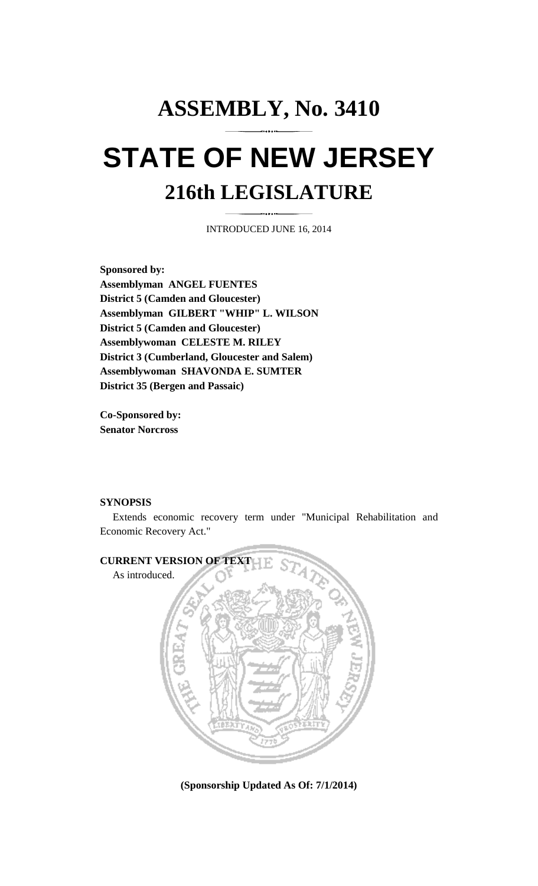# **ASSEMBLY, No. 3410 STATE OF NEW JERSEY 216th LEGISLATURE**

INTRODUCED JUNE 16, 2014

**Sponsored by: Assemblyman ANGEL FUENTES District 5 (Camden and Gloucester) Assemblyman GILBERT "WHIP" L. WILSON District 5 (Camden and Gloucester) Assemblywoman CELESTE M. RILEY District 3 (Cumberland, Gloucester and Salem) Assemblywoman SHAVONDA E. SUMTER District 35 (Bergen and Passaic)** 

**Co-Sponsored by: Senator Norcross** 

#### **SYNOPSIS**

 Extends economic recovery term under "Municipal Rehabilitation and Economic Recovery Act."



**(Sponsorship Updated As Of: 7/1/2014)**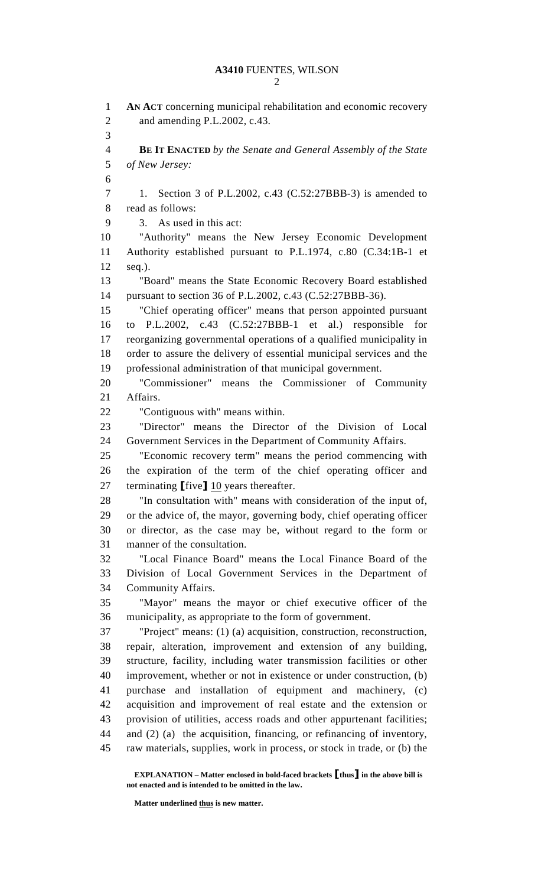1 **AN ACT** concerning municipal rehabilitation and economic recovery 2 and amending P.L.2002, c.43. 3 4 **BE IT ENACTED** *by the Senate and General Assembly of the State*  5 *of New Jersey:* 6 7 1. Section 3 of P.L.2002, c.43 (C.52:27BBB-3) is amended to 8 read as follows: 9 3. As used in this act: 10 "Authority" means the New Jersey Economic Development 11 Authority established pursuant to P.L.1974, c.80 (C.34:1B-1 et 12 seq.). 13 "Board" means the State Economic Recovery Board established 14 pursuant to section 36 of P.L.2002, c.43 (C.52:27BBB-36). 15 "Chief operating officer" means that person appointed pursuant 16 to P.L.2002, c.43 (C.52:27BBB-1 et al.) responsible for 17 reorganizing governmental operations of a qualified municipality in 18 order to assure the delivery of essential municipal services and the 19 professional administration of that municipal government. 20 "Commissioner" means the Commissioner of Community 21 Affairs. 22 "Contiguous with" means within. 23 "Director" means the Director of the Division of Local 24 Government Services in the Department of Community Affairs. 25 "Economic recovery term" means the period commencing with 26 the expiration of the term of the chief operating officer and 27 terminating [five] 10 years thereafter. 28 "In consultation with" means with consideration of the input of, 29 or the advice of, the mayor, governing body, chief operating officer 30 or director, as the case may be, without regard to the form or 31 manner of the consultation. 32 "Local Finance Board" means the Local Finance Board of the 33 Division of Local Government Services in the Department of 34 Community Affairs. 35 "Mayor" means the mayor or chief executive officer of the 36 municipality, as appropriate to the form of government. 37 "Project" means: (1) (a) acquisition, construction, reconstruction, 38 repair, alteration, improvement and extension of any building, 39 structure, facility, including water transmission facilities or other 40 improvement, whether or not in existence or under construction, (b) 41 purchase and installation of equipment and machinery, (c) 42 acquisition and improvement of real estate and the extension or 43 provision of utilities, access roads and other appurtenant facilities; 44 and (2) (a) the acquisition, financing, or refinancing of inventory, 45 raw materials, supplies, work in process, or stock in trade, or (b) the

 **EXPLANATION – Matter enclosed in bold-faced brackets** [**thus**] **in the above bill is not enacted and is intended to be omitted in the law.** 

 **Matter underlined thus is new matter.**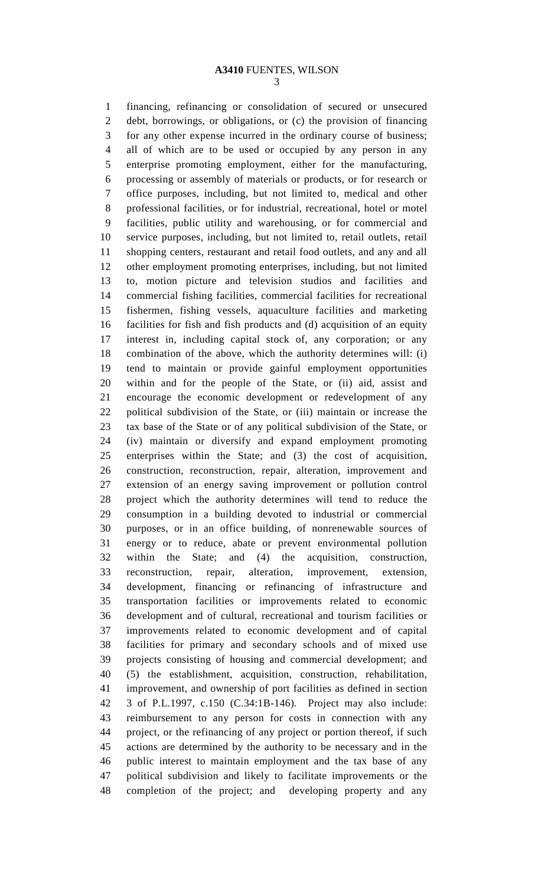1 financing, refinancing or consolidation of secured or unsecured 2 debt, borrowings, or obligations, or (c) the provision of financing 3 for any other expense incurred in the ordinary course of business; 4 all of which are to be used or occupied by any person in any 5 enterprise promoting employment, either for the manufacturing, 6 processing or assembly of materials or products, or for research or 7 office purposes, including, but not limited to, medical and other 8 professional facilities, or for industrial, recreational, hotel or motel 9 facilities, public utility and warehousing, or for commercial and 10 service purposes, including, but not limited to, retail outlets, retail 11 shopping centers, restaurant and retail food outlets, and any and all 12 other employment promoting enterprises, including, but not limited 13 to, motion picture and television studios and facilities and 14 commercial fishing facilities, commercial facilities for recreational 15 fishermen, fishing vessels, aquaculture facilities and marketing 16 facilities for fish and fish products and (d) acquisition of an equity 17 interest in, including capital stock of, any corporation; or any 18 combination of the above, which the authority determines will: (i) 19 tend to maintain or provide gainful employment opportunities 20 within and for the people of the State, or (ii) aid, assist and 21 encourage the economic development or redevelopment of any 22 political subdivision of the State, or (iii) maintain or increase the 23 tax base of the State or of any political subdivision of the State, or 24 (iv) maintain or diversify and expand employment promoting 25 enterprises within the State; and (3) the cost of acquisition, 26 construction, reconstruction, repair, alteration, improvement and 27 extension of an energy saving improvement or pollution control 28 project which the authority determines will tend to reduce the 29 consumption in a building devoted to industrial or commercial 30 purposes, or in an office building, of nonrenewable sources of 31 energy or to reduce, abate or prevent environmental pollution 32 within the State; and (4) the acquisition, construction, 33 reconstruction, repair, alteration, improvement, extension, 34 development, financing or refinancing of infrastructure and 35 transportation facilities or improvements related to economic 36 development and of cultural, recreational and tourism facilities or 37 improvements related to economic development and of capital 38 facilities for primary and secondary schools and of mixed use 39 projects consisting of housing and commercial development; and 40 (5) the establishment, acquisition, construction, rehabilitation, 41 improvement, and ownership of port facilities as defined in section 42 3 of P.L.1997, c.150 (C.34:1B-146). Project may also include: 43 reimbursement to any person for costs in connection with any 44 project, or the refinancing of any project or portion thereof, if such 45 actions are determined by the authority to be necessary and in the 46 public interest to maintain employment and the tax base of any 47 political subdivision and likely to facilitate improvements or the 48 completion of the project; and developing property and any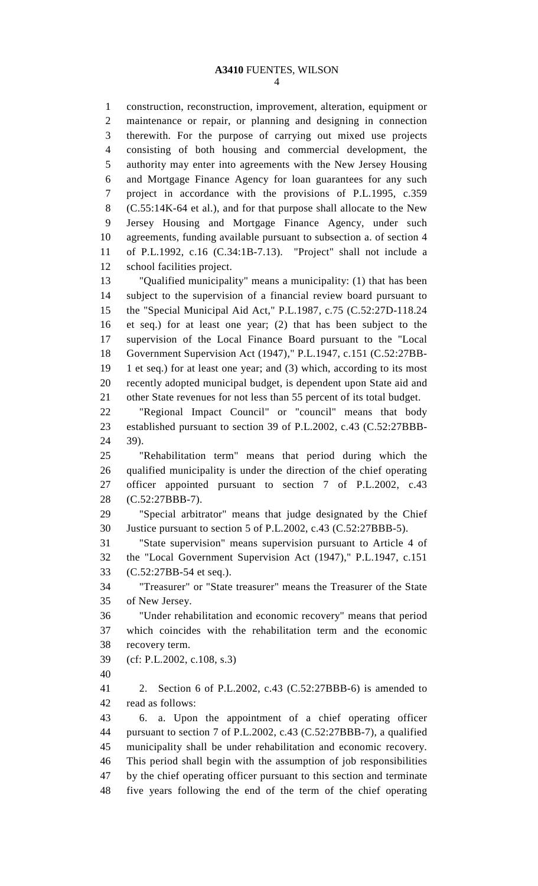1 construction, reconstruction, improvement, alteration, equipment or 2 maintenance or repair, or planning and designing in connection 3 therewith. For the purpose of carrying out mixed use projects 4 consisting of both housing and commercial development, the 5 authority may enter into agreements with the New Jersey Housing 6 and Mortgage Finance Agency for loan guarantees for any such 7 project in accordance with the provisions of P.L.1995, c.359 8 (C.55:14K-64 et al.), and for that purpose shall allocate to the New 9 Jersey Housing and Mortgage Finance Agency, under such 10 agreements, funding available pursuant to subsection a. of section 4 11 of P.L.1992, c.16 (C.34:1B-7.13). "Project" shall not include a 12 school facilities project. 13 "Qualified municipality" means a municipality: (1) that has been

14 subject to the supervision of a financial review board pursuant to 15 the "Special Municipal Aid Act," P.L.1987, c.75 (C.52:27D-118.24 16 et seq.) for at least one year; (2) that has been subject to the 17 supervision of the Local Finance Board pursuant to the "Local 18 Government Supervision Act (1947)," P.L.1947, c.151 (C.52:27BB-19 1 et seq.) for at least one year; and (3) which, according to its most 20 recently adopted municipal budget, is dependent upon State aid and 21 other State revenues for not less than 55 percent of its total budget.

22 "Regional Impact Council" or "council" means that body 23 established pursuant to section 39 of P.L.2002, c.43 (C.52:27BBB-24 39).

25 "Rehabilitation term" means that period during which the 26 qualified municipality is under the direction of the chief operating 27 officer appointed pursuant to section 7 of P.L.2002, c.43 28 (C.52:27BBB-7).

29 "Special arbitrator" means that judge designated by the Chief 30 Justice pursuant to section 5 of P.L.2002, c.43 (C.52:27BBB-5).

31 "State supervision" means supervision pursuant to Article 4 of 32 the "Local Government Supervision Act (1947)," P.L.1947, c.151 33 (C.52:27BB-54 et seq.).

34 "Treasurer" or "State treasurer" means the Treasurer of the State 35 of New Jersey.

36 "Under rehabilitation and economic recovery" means that period 37 which coincides with the rehabilitation term and the economic 38 recovery term.

- 39 (cf: P.L.2002, c.108, s.3)
- 40

41 2. Section 6 of P.L.2002, c.43 (C.52:27BBB-6) is amended to 42 read as follows:

43 6. a. Upon the appointment of a chief operating officer 44 pursuant to section 7 of P.L.2002, c.43 (C.52:27BBB-7), a qualified 45 municipality shall be under rehabilitation and economic recovery. 46 This period shall begin with the assumption of job responsibilities 47 by the chief operating officer pursuant to this section and terminate 48 five years following the end of the term of the chief operating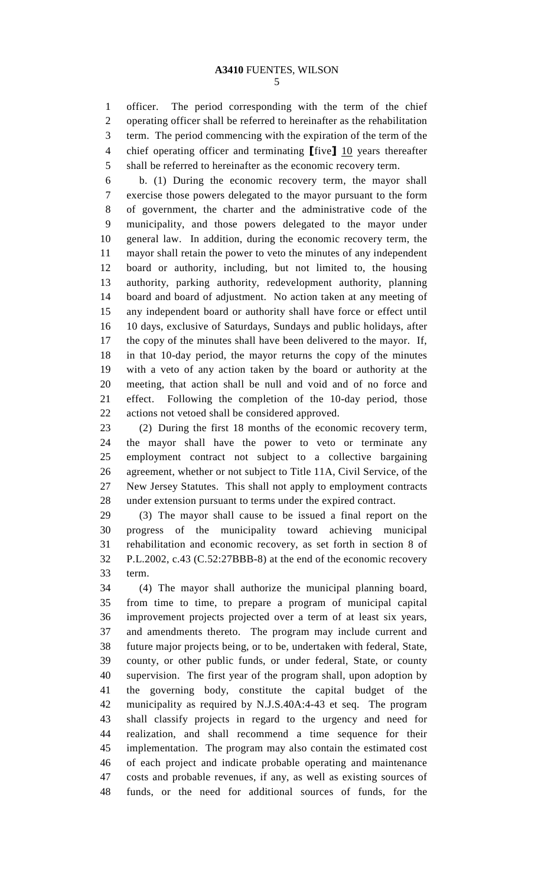1 officer. The period corresponding with the term of the chief 2 operating officer shall be referred to hereinafter as the rehabilitation 3 term. The period commencing with the expiration of the term of the 4 chief operating officer and terminating  $[\text{five}]$  10 years thereafter 5 shall be referred to hereinafter as the economic recovery term.

6 b. (1) During the economic recovery term, the mayor shall 7 exercise those powers delegated to the mayor pursuant to the form 8 of government, the charter and the administrative code of the 9 municipality, and those powers delegated to the mayor under 10 general law. In addition, during the economic recovery term, the 11 mayor shall retain the power to veto the minutes of any independent 12 board or authority, including, but not limited to, the housing 13 authority, parking authority, redevelopment authority, planning 14 board and board of adjustment. No action taken at any meeting of 15 any independent board or authority shall have force or effect until 16 10 days, exclusive of Saturdays, Sundays and public holidays, after 17 the copy of the minutes shall have been delivered to the mayor. If, 18 in that 10-day period, the mayor returns the copy of the minutes 19 with a veto of any action taken by the board or authority at the 20 meeting, that action shall be null and void and of no force and 21 effect. Following the completion of the 10-day period, those 22 actions not vetoed shall be considered approved.

23 (2) During the first 18 months of the economic recovery term, 24 the mayor shall have the power to veto or terminate any 25 employment contract not subject to a collective bargaining 26 agreement, whether or not subject to Title 11A, Civil Service, of the 27 New Jersey Statutes. This shall not apply to employment contracts 28 under extension pursuant to terms under the expired contract.

29 (3) The mayor shall cause to be issued a final report on the 30 progress of the municipality toward achieving municipal 31 rehabilitation and economic recovery, as set forth in section 8 of 32 P.L.2002, c.43 (C.52:27BBB-8) at the end of the economic recovery 33 term.

34 (4) The mayor shall authorize the municipal planning board, 35 from time to time, to prepare a program of municipal capital 36 improvement projects projected over a term of at least six years, 37 and amendments thereto. The program may include current and 38 future major projects being, or to be, undertaken with federal, State, 39 county, or other public funds, or under federal, State, or county 40 supervision. The first year of the program shall, upon adoption by 41 the governing body, constitute the capital budget of the 42 municipality as required by N.J.S.40A:4-43 et seq. The program 43 shall classify projects in regard to the urgency and need for 44 realization, and shall recommend a time sequence for their 45 implementation. The program may also contain the estimated cost 46 of each project and indicate probable operating and maintenance 47 costs and probable revenues, if any, as well as existing sources of 48 funds, or the need for additional sources of funds, for the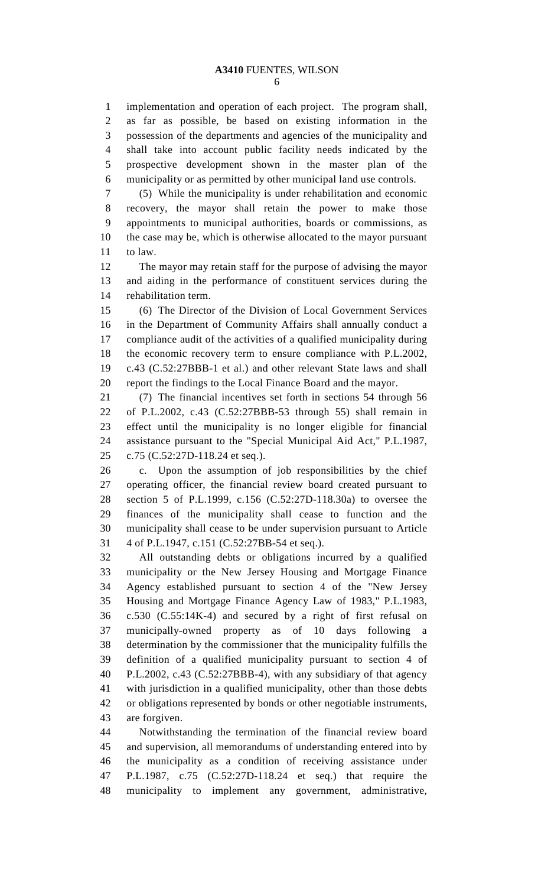1 implementation and operation of each project. The program shall, 2 as far as possible, be based on existing information in the 3 possession of the departments and agencies of the municipality and 4 shall take into account public facility needs indicated by the 5 prospective development shown in the master plan of the 6 municipality or as permitted by other municipal land use controls.

7 (5) While the municipality is under rehabilitation and economic 8 recovery, the mayor shall retain the power to make those 9 appointments to municipal authorities, boards or commissions, as 10 the case may be, which is otherwise allocated to the mayor pursuant 11 to law.

12 The mayor may retain staff for the purpose of advising the mayor 13 and aiding in the performance of constituent services during the 14 rehabilitation term.

15 (6) The Director of the Division of Local Government Services 16 in the Department of Community Affairs shall annually conduct a 17 compliance audit of the activities of a qualified municipality during 18 the economic recovery term to ensure compliance with P.L.2002, 19 c.43 (C.52:27BBB-1 et al.) and other relevant State laws and shall 20 report the findings to the Local Finance Board and the mayor.

21 (7) The financial incentives set forth in sections 54 through 56 22 of P.L.2002, c.43 (C.52:27BBB-53 through 55) shall remain in 23 effect until the municipality is no longer eligible for financial 24 assistance pursuant to the "Special Municipal Aid Act," P.L.1987, 25 c.75 (C.52:27D-118.24 et seq.).

26 c. Upon the assumption of job responsibilities by the chief 27 operating officer, the financial review board created pursuant to 28 section 5 of P.L.1999, c.156 (C.52:27D-118.30a) to oversee the 29 finances of the municipality shall cease to function and the 30 municipality shall cease to be under supervision pursuant to Article 31 4 of P.L.1947, c.151 (C.52:27BB-54 et seq.).

32 All outstanding debts or obligations incurred by a qualified 33 municipality or the New Jersey Housing and Mortgage Finance 34 Agency established pursuant to section 4 of the "New Jersey 35 Housing and Mortgage Finance Agency Law of 1983," P.L.1983, 36 c.530 (C.55:14K-4) and secured by a right of first refusal on 37 municipally-owned property as of 10 days following a 38 determination by the commissioner that the municipality fulfills the 39 definition of a qualified municipality pursuant to section 4 of 40 P.L.2002, c.43 (C.52:27BBB-4), with any subsidiary of that agency 41 with jurisdiction in a qualified municipality, other than those debts 42 or obligations represented by bonds or other negotiable instruments, 43 are forgiven.

44 Notwithstanding the termination of the financial review board 45 and supervision, all memorandums of understanding entered into by 46 the municipality as a condition of receiving assistance under 47 P.L.1987, c.75 (C.52:27D-118.24 et seq.) that require the 48 municipality to implement any government, administrative,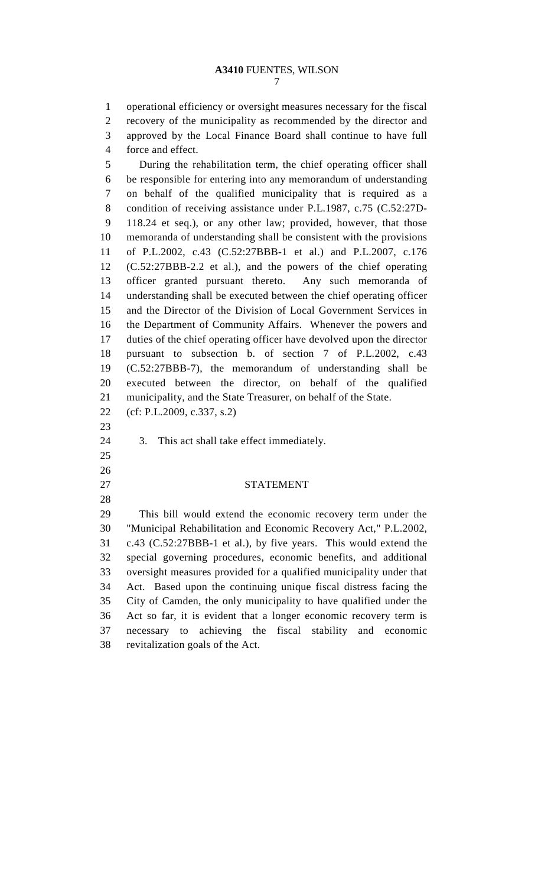1 operational efficiency or oversight measures necessary for the fiscal 2 recovery of the municipality as recommended by the director and 3 approved by the Local Finance Board shall continue to have full 4 force and effect.

5 During the rehabilitation term, the chief operating officer shall 6 be responsible for entering into any memorandum of understanding 7 on behalf of the qualified municipality that is required as a 8 condition of receiving assistance under P.L.1987, c.75 (C.52:27D-9 118.24 et seq.), or any other law; provided, however, that those 10 memoranda of understanding shall be consistent with the provisions 11 of P.L.2002, c.43 (C.52:27BBB-1 et al.) and P.L.2007, c.176 12 (C.52:27BBB-2.2 et al.), and the powers of the chief operating 13 officer granted pursuant thereto. Any such memoranda of 14 understanding shall be executed between the chief operating officer 15 and the Director of the Division of Local Government Services in 16 the Department of Community Affairs. Whenever the powers and 17 duties of the chief operating officer have devolved upon the director 18 pursuant to subsection b. of section 7 of P.L.2002, c.43 19 (C.52:27BBB-7), the memorandum of understanding shall be 20 executed between the director, on behalf of the qualified 21 municipality, and the State Treasurer, on behalf of the State. 22 (cf: P.L.2009, c.337, s.2) 23 24 3. This act shall take effect immediately.

25 26

28

27 STATEMENT

29 This bill would extend the economic recovery term under the 30 "Municipal Rehabilitation and Economic Recovery Act," P.L.2002, 31 c.43 (C.52:27BBB-1 et al.), by five years. This would extend the 32 special governing procedures, economic benefits, and additional 33 oversight measures provided for a qualified municipality under that 34 Act. Based upon the continuing unique fiscal distress facing the 35 City of Camden, the only municipality to have qualified under the 36 Act so far, it is evident that a longer economic recovery term is 37 necessary to achieving the fiscal stability and economic 38 revitalization goals of the Act.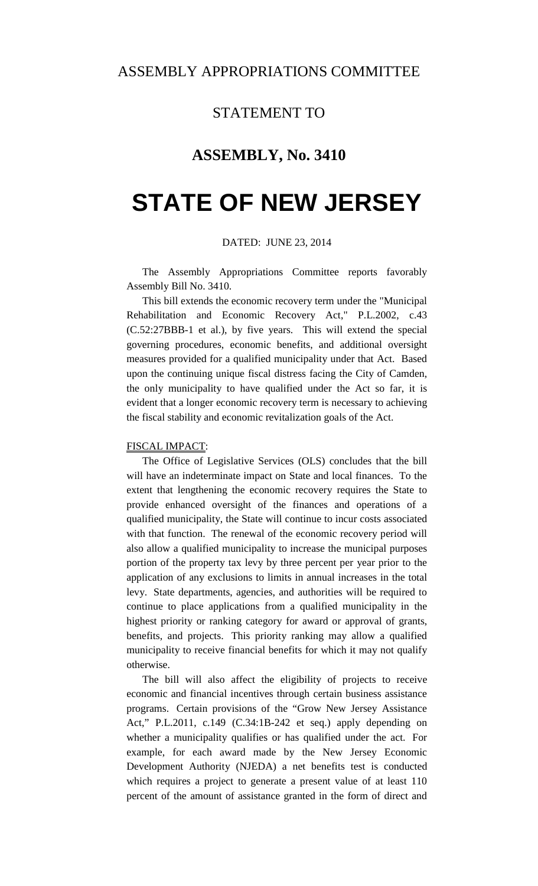#### STATEMENT TO

#### **ASSEMBLY, No. 3410**

## **STATE OF NEW JERSEY**

#### DATED: JUNE 23, 2014

 The Assembly Appropriations Committee reports favorably Assembly Bill No. 3410.

 This bill extends the economic recovery term under the "Municipal Rehabilitation and Economic Recovery Act," P.L.2002, c.43 (C.52:27BBB-1 et al.), by five years. This will extend the special governing procedures, economic benefits, and additional oversight measures provided for a qualified municipality under that Act. Based upon the continuing unique fiscal distress facing the City of Camden, the only municipality to have qualified under the Act so far, it is evident that a longer economic recovery term is necessary to achieving the fiscal stability and economic revitalization goals of the Act.

#### FISCAL IMPACT:

 The Office of Legislative Services (OLS) concludes that the bill will have an indeterminate impact on State and local finances. To the extent that lengthening the economic recovery requires the State to provide enhanced oversight of the finances and operations of a qualified municipality, the State will continue to incur costs associated with that function. The renewal of the economic recovery period will also allow a qualified municipality to increase the municipal purposes portion of the property tax levy by three percent per year prior to the application of any exclusions to limits in annual increases in the total levy. State departments, agencies, and authorities will be required to continue to place applications from a qualified municipality in the highest priority or ranking category for award or approval of grants, benefits, and projects. This priority ranking may allow a qualified municipality to receive financial benefits for which it may not qualify otherwise.

 The bill will also affect the eligibility of projects to receive economic and financial incentives through certain business assistance programs. Certain provisions of the "Grow New Jersey Assistance Act," P.L.2011, c.149 (C.34:1B-242 et seq.) apply depending on whether a municipality qualifies or has qualified under the act. For example, for each award made by the New Jersey Economic Development Authority (NJEDA) a net benefits test is conducted which requires a project to generate a present value of at least 110 percent of the amount of assistance granted in the form of direct and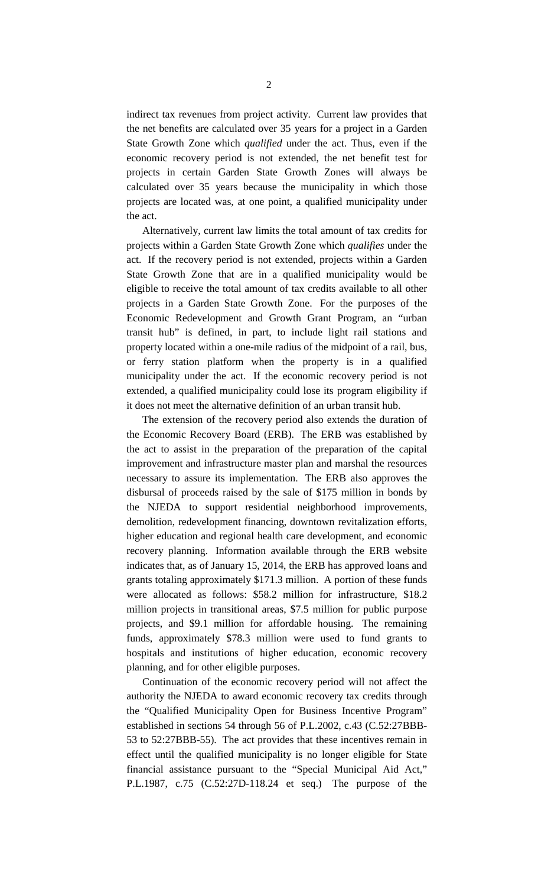indirect tax revenues from project activity. Current law provides that the net benefits are calculated over 35 years for a project in a Garden State Growth Zone which *qualified* under the act. Thus, even if the economic recovery period is not extended, the net benefit test for projects in certain Garden State Growth Zones will always be calculated over 35 years because the municipality in which those projects are located was, at one point, a qualified municipality under the act.

 Alternatively, current law limits the total amount of tax credits for projects within a Garden State Growth Zone which *qualifies* under the act. If the recovery period is not extended, projects within a Garden State Growth Zone that are in a qualified municipality would be eligible to receive the total amount of tax credits available to all other projects in a Garden State Growth Zone. For the purposes of the Economic Redevelopment and Growth Grant Program, an "urban transit hub" is defined, in part, to include light rail stations and property located within a one-mile radius of the midpoint of a rail, bus, or ferry station platform when the property is in a qualified municipality under the act. If the economic recovery period is not extended, a qualified municipality could lose its program eligibility if it does not meet the alternative definition of an urban transit hub.

 The extension of the recovery period also extends the duration of the Economic Recovery Board (ERB). The ERB was established by the act to assist in the preparation of the preparation of the capital improvement and infrastructure master plan and marshal the resources necessary to assure its implementation. The ERB also approves the disbursal of proceeds raised by the sale of \$175 million in bonds by the NJEDA to support residential neighborhood improvements, demolition, redevelopment financing, downtown revitalization efforts, higher education and regional health care development, and economic recovery planning. Information available through the ERB website indicates that, as of January 15, 2014, the ERB has approved loans and grants totaling approximately \$171.3 million. A portion of these funds were allocated as follows: \$58.2 million for infrastructure, \$18.2 million projects in transitional areas, \$7.5 million for public purpose projects, and \$9.1 million for affordable housing. The remaining funds, approximately \$78.3 million were used to fund grants to hospitals and institutions of higher education, economic recovery planning, and for other eligible purposes.

 Continuation of the economic recovery period will not affect the authority the NJEDA to award economic recovery tax credits through the "Qualified Municipality Open for Business Incentive Program" established in sections 54 through 56 of P.L.2002, c.43 (C.52:27BBB-53 to 52:27BBB-55). The act provides that these incentives remain in effect until the qualified municipality is no longer eligible for State financial assistance pursuant to the "Special Municipal Aid Act," P.L.1987, c.75 (C.52:27D-118.24 et seq.) The purpose of the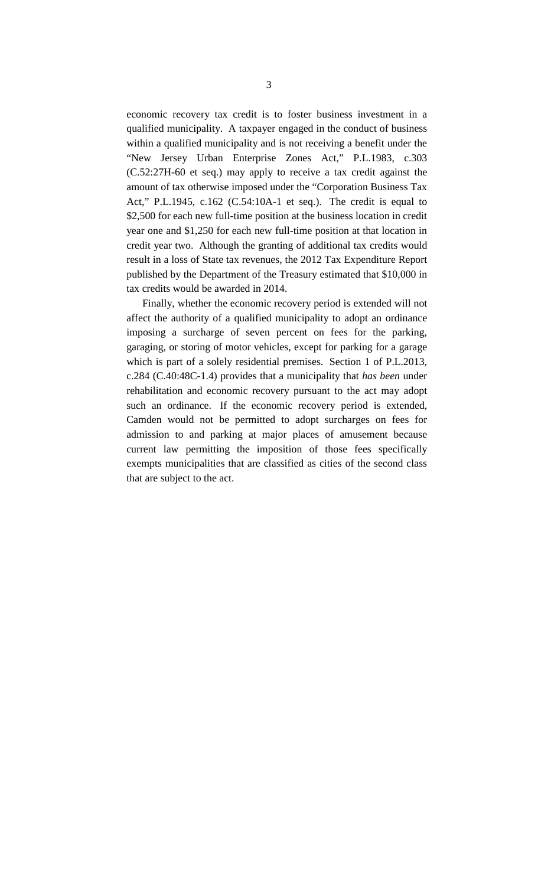economic recovery tax credit is to foster business investment in a qualified municipality. A taxpayer engaged in the conduct of business within a qualified municipality and is not receiving a benefit under the "New Jersey Urban Enterprise Zones Act," P.L.1983, c.303 (C.52:27H-60 et seq.) may apply to receive a tax credit against the amount of tax otherwise imposed under the "Corporation Business Tax Act," P.L.1945, c.162 (C.54:10A-1 et seq.). The credit is equal to \$2,500 for each new full-time position at the business location in credit year one and \$1,250 for each new full-time position at that location in credit year two. Although the granting of additional tax credits would result in a loss of State tax revenues, the 2012 Tax Expenditure Report published by the Department of the Treasury estimated that \$10,000 in tax credits would be awarded in 2014.

 Finally, whether the economic recovery period is extended will not affect the authority of a qualified municipality to adopt an ordinance imposing a surcharge of seven percent on fees for the parking, garaging, or storing of motor vehicles, except for parking for a garage which is part of a solely residential premises. Section 1 of P.L.2013, c.284 (C.40:48C-1.4) provides that a municipality that *has been* under rehabilitation and economic recovery pursuant to the act may adopt such an ordinance. If the economic recovery period is extended, Camden would not be permitted to adopt surcharges on fees for admission to and parking at major places of amusement because current law permitting the imposition of those fees specifically exempts municipalities that are classified as cities of the second class that are subject to the act.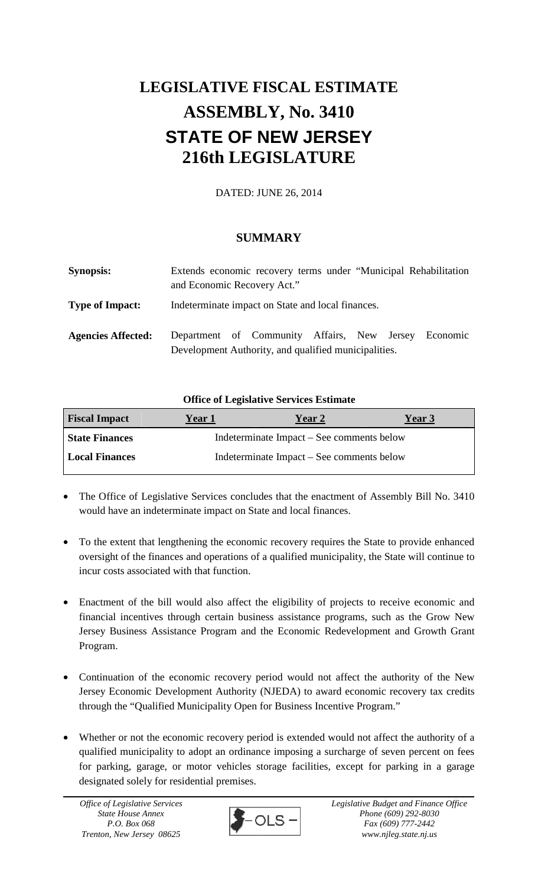### **LEGISLATIVE FISCAL ESTIMATE ASSEMBLY, No. 3410 STATE OF NEW JERSEY 216th LEGISLATURE**

DATED: JUNE 26, 2014

#### **SUMMARY**

| <b>Synopsis:</b>          | Extends economic recovery terms under "Municipal Rehabilitation<br>and Economic Recovery Act."               |  |  |  |  |
|---------------------------|--------------------------------------------------------------------------------------------------------------|--|--|--|--|
| <b>Type of Impact:</b>    | Indeterminate impact on State and local finances.                                                            |  |  |  |  |
| <b>Agencies Affected:</b> | Department of Community Affairs, New Jersey Economic<br>Development Authority, and qualified municipalities. |  |  |  |  |

#### **Office of Legislative Services Estimate**

| <b>Fiscal Impact</b>  | <b>Year 1</b>                             | Year 2 | <b>Year 3</b> |  |  |
|-----------------------|-------------------------------------------|--------|---------------|--|--|
| <b>State Finances</b> | Indeterminate Impact – See comments below |        |               |  |  |
| <b>Local Finances</b> | Indeterminate Impact – See comments below |        |               |  |  |

- The Office of Legislative Services concludes that the enactment of Assembly Bill No. 3410 would have an indeterminate impact on State and local finances.
- To the extent that lengthening the economic recovery requires the State to provide enhanced oversight of the finances and operations of a qualified municipality, the State will continue to incur costs associated with that function.
- Enactment of the bill would also affect the eligibility of projects to receive economic and financial incentives through certain business assistance programs, such as the Grow New Jersey Business Assistance Program and the Economic Redevelopment and Growth Grant Program.
- Continuation of the economic recovery period would not affect the authority of the New Jersey Economic Development Authority (NJEDA) to award economic recovery tax credits through the "Qualified Municipality Open for Business Incentive Program."
- Whether or not the economic recovery period is extended would not affect the authority of a qualified municipality to adopt an ordinance imposing a surcharge of seven percent on fees for parking, garage, or motor vehicles storage facilities, except for parking in a garage designated solely for residential premises.

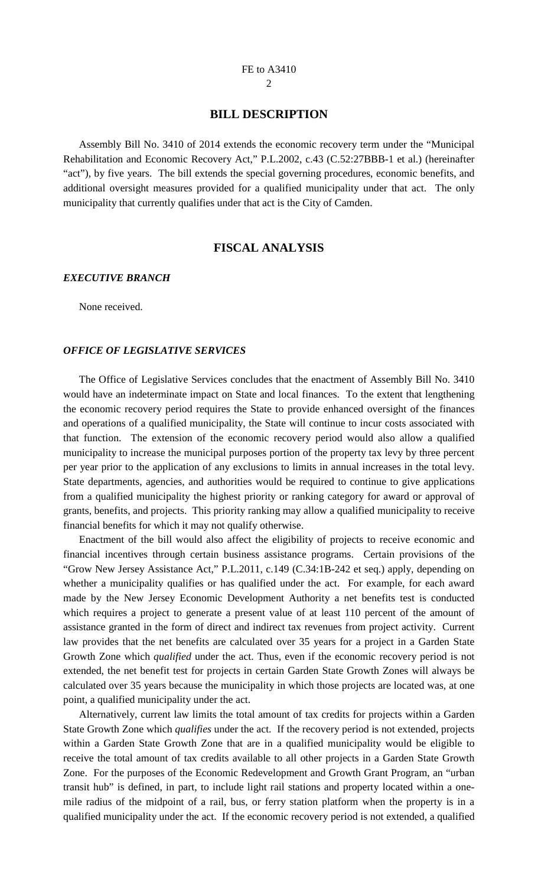#### **BILL DESCRIPTION**

 Assembly Bill No. 3410 of 2014 extends the economic recovery term under the "Municipal Rehabilitation and Economic Recovery Act," P.L.2002, c.43 (C.52:27BBB-1 et al.) (hereinafter "act"), by five years. The bill extends the special governing procedures, economic benefits, and additional oversight measures provided for a qualified municipality under that act. The only municipality that currently qualifies under that act is the City of Camden.

#### **FISCAL ANALYSIS**

#### *EXECUTIVE BRANCH*

None received.

#### *OFFICE OF LEGISLATIVE SERVICES*

 The Office of Legislative Services concludes that the enactment of Assembly Bill No. 3410 would have an indeterminate impact on State and local finances. To the extent that lengthening the economic recovery period requires the State to provide enhanced oversight of the finances and operations of a qualified municipality, the State will continue to incur costs associated with that function. The extension of the economic recovery period would also allow a qualified municipality to increase the municipal purposes portion of the property tax levy by three percent per year prior to the application of any exclusions to limits in annual increases in the total levy. State departments, agencies, and authorities would be required to continue to give applications from a qualified municipality the highest priority or ranking category for award or approval of grants, benefits, and projects. This priority ranking may allow a qualified municipality to receive financial benefits for which it may not qualify otherwise.

 Enactment of the bill would also affect the eligibility of projects to receive economic and financial incentives through certain business assistance programs. Certain provisions of the "Grow New Jersey Assistance Act," P.L.2011, c.149 (C.34:1B-242 et seq.) apply, depending on whether a municipality qualifies or has qualified under the act. For example, for each award made by the New Jersey Economic Development Authority a net benefits test is conducted which requires a project to generate a present value of at least 110 percent of the amount of assistance granted in the form of direct and indirect tax revenues from project activity. Current law provides that the net benefits are calculated over 35 years for a project in a Garden State Growth Zone which *qualified* under the act. Thus, even if the economic recovery period is not extended, the net benefit test for projects in certain Garden State Growth Zones will always be calculated over 35 years because the municipality in which those projects are located was, at one point, a qualified municipality under the act.

 Alternatively, current law limits the total amount of tax credits for projects within a Garden State Growth Zone which *qualifies* under the act. If the recovery period is not extended, projects within a Garden State Growth Zone that are in a qualified municipality would be eligible to receive the total amount of tax credits available to all other projects in a Garden State Growth Zone. For the purposes of the Economic Redevelopment and Growth Grant Program, an "urban transit hub" is defined, in part, to include light rail stations and property located within a onemile radius of the midpoint of a rail, bus, or ferry station platform when the property is in a qualified municipality under the act. If the economic recovery period is not extended, a qualified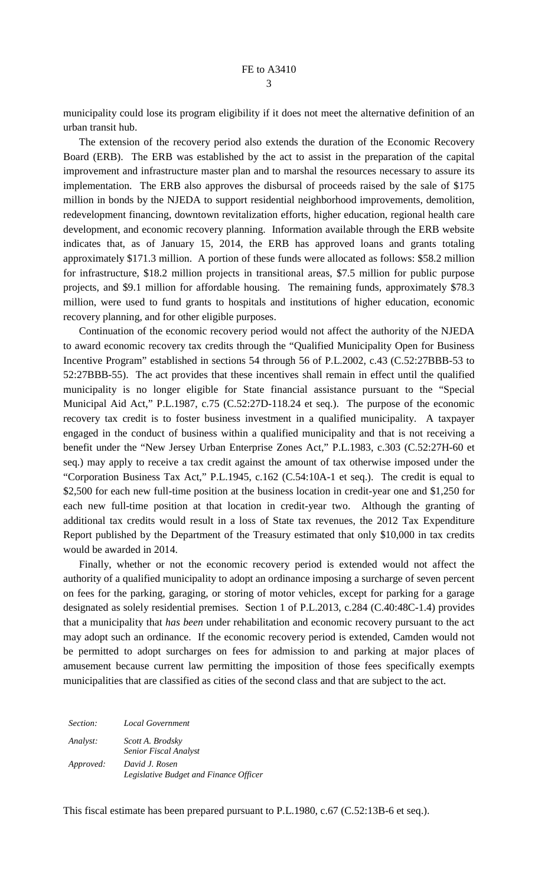municipality could lose its program eligibility if it does not meet the alternative definition of an urban transit hub.

 The extension of the recovery period also extends the duration of the Economic Recovery Board (ERB). The ERB was established by the act to assist in the preparation of the capital improvement and infrastructure master plan and to marshal the resources necessary to assure its implementation. The ERB also approves the disbursal of proceeds raised by the sale of \$175 million in bonds by the NJEDA to support residential neighborhood improvements, demolition, redevelopment financing, downtown revitalization efforts, higher education, regional health care development, and economic recovery planning. Information available through the ERB website indicates that, as of January 15, 2014, the ERB has approved loans and grants totaling approximately \$171.3 million. A portion of these funds were allocated as follows: \$58.2 million for infrastructure, \$18.2 million projects in transitional areas, \$7.5 million for public purpose projects, and \$9.1 million for affordable housing. The remaining funds, approximately \$78.3 million, were used to fund grants to hospitals and institutions of higher education, economic recovery planning, and for other eligible purposes.

 Continuation of the economic recovery period would not affect the authority of the NJEDA to award economic recovery tax credits through the "Qualified Municipality Open for Business Incentive Program" established in sections 54 through 56 of P.L.2002, c.43 (C.52:27BBB-53 to 52:27BBB-55). The act provides that these incentives shall remain in effect until the qualified municipality is no longer eligible for State financial assistance pursuant to the "Special Municipal Aid Act," P.L.1987, c.75 (C.52:27D-118.24 et seq.). The purpose of the economic recovery tax credit is to foster business investment in a qualified municipality. A taxpayer engaged in the conduct of business within a qualified municipality and that is not receiving a benefit under the "New Jersey Urban Enterprise Zones Act," P.L.1983, c.303 (C.52:27H-60 et seq.) may apply to receive a tax credit against the amount of tax otherwise imposed under the "Corporation Business Tax Act," P.L.1945, c.162 (C.54:10A-1 et seq.). The credit is equal to \$2,500 for each new full-time position at the business location in credit-year one and \$1,250 for each new full-time position at that location in credit-year two. Although the granting of additional tax credits would result in a loss of State tax revenues, the 2012 Tax Expenditure Report published by the Department of the Treasury estimated that only \$10,000 in tax credits would be awarded in 2014.

 Finally, whether or not the economic recovery period is extended would not affect the authority of a qualified municipality to adopt an ordinance imposing a surcharge of seven percent on fees for the parking, garaging, or storing of motor vehicles, except for parking for a garage designated as solely residential premises. Section 1 of P.L.2013, c.284 (C.40:48C-1.4) provides that a municipality that *has been* under rehabilitation and economic recovery pursuant to the act may adopt such an ordinance. If the economic recovery period is extended, Camden would not be permitted to adopt surcharges on fees for admission to and parking at major places of amusement because current law permitting the imposition of those fees specifically exempts municipalities that are classified as cities of the second class and that are subject to the act.

*Section: Local Government Analyst: Scott A. Brodsky Senior Fiscal Analyst Approved: David J. Rosen Legislative Budget and Finance Officer*

This fiscal estimate has been prepared pursuant to P.L.1980, c.67 (C.52:13B-6 et seq.).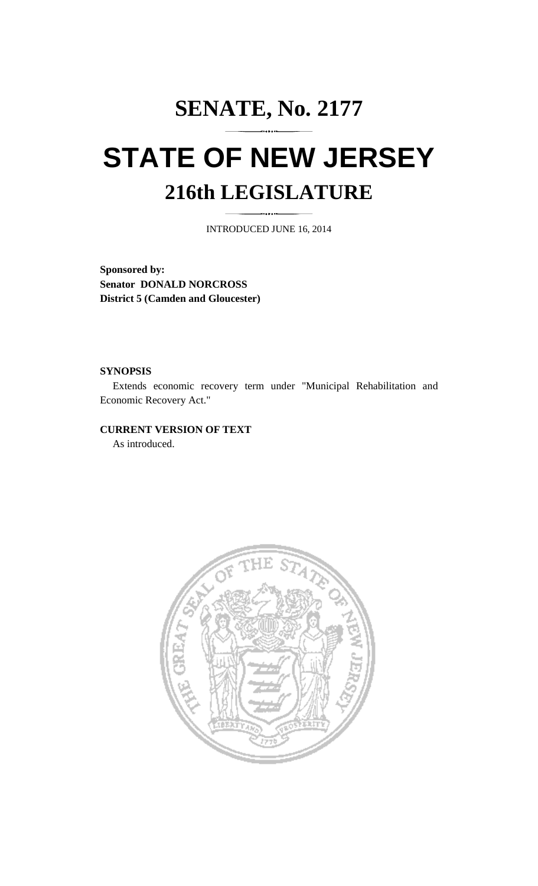# **SENATE, No. 2177 STATE OF NEW JERSEY 216th LEGISLATURE**

INTRODUCED JUNE 16, 2014

**Sponsored by: Senator DONALD NORCROSS District 5 (Camden and Gloucester)** 

#### **SYNOPSIS**

 Extends economic recovery term under "Municipal Rehabilitation and Economic Recovery Act."

#### **CURRENT VERSION OF TEXT**

As introduced.

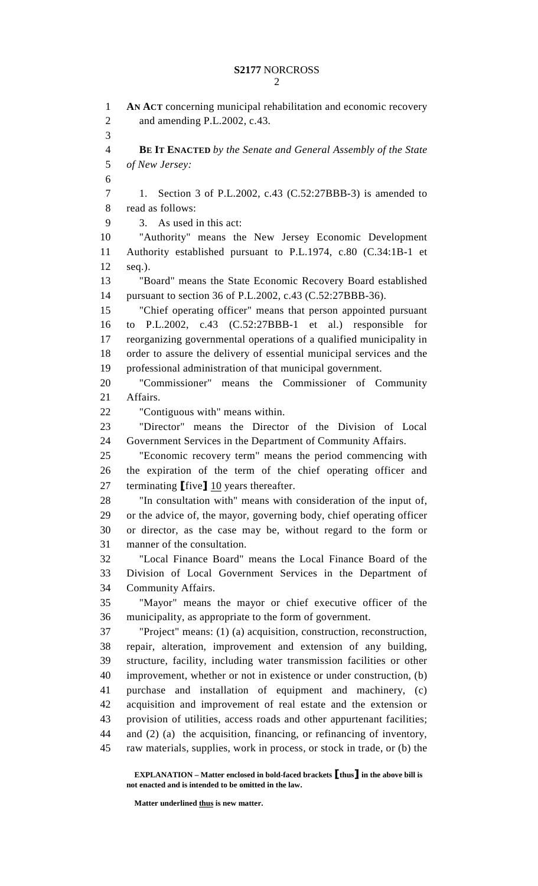1 **AN ACT** concerning municipal rehabilitation and economic recovery 2 and amending P.L.2002, c.43. 3 4 **BE IT ENACTED** *by the Senate and General Assembly of the State*  5 *of New Jersey:* 6 7 1. Section 3 of P.L.2002, c.43 (C.52:27BBB-3) is amended to 8 read as follows: 9 3. As used in this act: 10 "Authority" means the New Jersey Economic Development 11 Authority established pursuant to P.L.1974, c.80 (C.34:1B-1 et 12 seq.). 13 "Board" means the State Economic Recovery Board established 14 pursuant to section 36 of P.L.2002, c.43 (C.52:27BBB-36). 15 "Chief operating officer" means that person appointed pursuant 16 to P.L.2002, c.43 (C.52:27BBB-1 et al.) responsible for 17 reorganizing governmental operations of a qualified municipality in 18 order to assure the delivery of essential municipal services and the 19 professional administration of that municipal government. 20 "Commissioner" means the Commissioner of Community 21 Affairs. 22 "Contiguous with" means within. 23 "Director" means the Director of the Division of Local 24 Government Services in the Department of Community Affairs. 25 "Economic recovery term" means the period commencing with 26 the expiration of the term of the chief operating officer and 27 terminating [five] 10 years thereafter. 28 "In consultation with" means with consideration of the input of, 29 or the advice of, the mayor, governing body, chief operating officer 30 or director, as the case may be, without regard to the form or 31 manner of the consultation. 32 "Local Finance Board" means the Local Finance Board of the 33 Division of Local Government Services in the Department of 34 Community Affairs. 35 "Mayor" means the mayor or chief executive officer of the 36 municipality, as appropriate to the form of government. 37 "Project" means: (1) (a) acquisition, construction, reconstruction, 38 repair, alteration, improvement and extension of any building, 39 structure, facility, including water transmission facilities or other 40 improvement, whether or not in existence or under construction, (b) 41 purchase and installation of equipment and machinery, (c) 42 acquisition and improvement of real estate and the extension or 43 provision of utilities, access roads and other appurtenant facilities; 44 and (2) (a) the acquisition, financing, or refinancing of inventory, 45 raw materials, supplies, work in process, or stock in trade, or (b) the

 **EXPLANATION – Matter enclosed in bold-faced brackets** [**thus**] **in the above bill is not enacted and is intended to be omitted in the law.** 

 **Matter underlined thus is new matter.**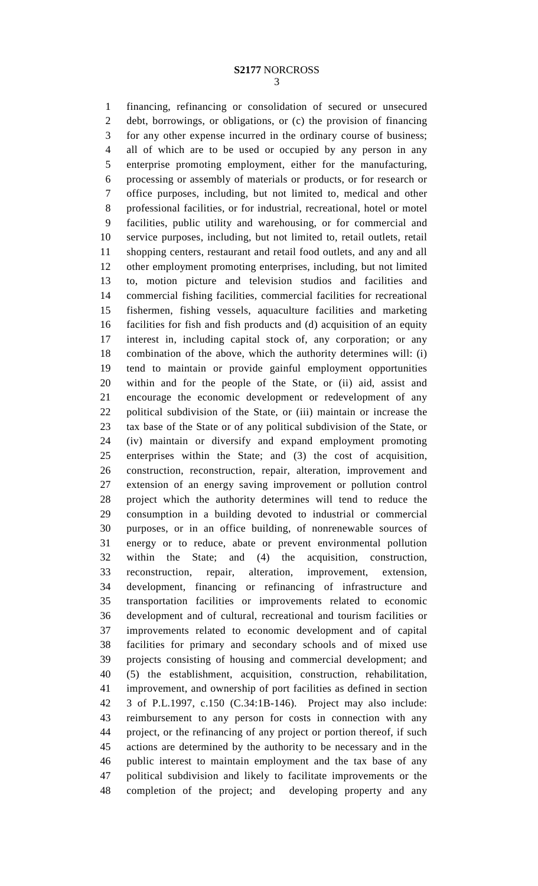1 financing, refinancing or consolidation of secured or unsecured 2 debt, borrowings, or obligations, or (c) the provision of financing 3 for any other expense incurred in the ordinary course of business; 4 all of which are to be used or occupied by any person in any 5 enterprise promoting employment, either for the manufacturing, 6 processing or assembly of materials or products, or for research or 7 office purposes, including, but not limited to, medical and other 8 professional facilities, or for industrial, recreational, hotel or motel 9 facilities, public utility and warehousing, or for commercial and 10 service purposes, including, but not limited to, retail outlets, retail 11 shopping centers, restaurant and retail food outlets, and any and all 12 other employment promoting enterprises, including, but not limited 13 to, motion picture and television studios and facilities and 14 commercial fishing facilities, commercial facilities for recreational 15 fishermen, fishing vessels, aquaculture facilities and marketing 16 facilities for fish and fish products and (d) acquisition of an equity 17 interest in, including capital stock of, any corporation; or any 18 combination of the above, which the authority determines will: (i) 19 tend to maintain or provide gainful employment opportunities 20 within and for the people of the State, or (ii) aid, assist and 21 encourage the economic development or redevelopment of any 22 political subdivision of the State, or (iii) maintain or increase the 23 tax base of the State or of any political subdivision of the State, or 24 (iv) maintain or diversify and expand employment promoting 25 enterprises within the State; and (3) the cost of acquisition, 26 construction, reconstruction, repair, alteration, improvement and 27 extension of an energy saving improvement or pollution control 28 project which the authority determines will tend to reduce the 29 consumption in a building devoted to industrial or commercial 30 purposes, or in an office building, of nonrenewable sources of 31 energy or to reduce, abate or prevent environmental pollution 32 within the State; and (4) the acquisition, construction, 33 reconstruction, repair, alteration, improvement, extension, 34 development, financing or refinancing of infrastructure and 35 transportation facilities or improvements related to economic 36 development and of cultural, recreational and tourism facilities or 37 improvements related to economic development and of capital 38 facilities for primary and secondary schools and of mixed use 39 projects consisting of housing and commercial development; and 40 (5) the establishment, acquisition, construction, rehabilitation, 41 improvement, and ownership of port facilities as defined in section 42 3 of P.L.1997, c.150 (C.34:1B-146). Project may also include: 43 reimbursement to any person for costs in connection with any 44 project, or the refinancing of any project or portion thereof, if such 45 actions are determined by the authority to be necessary and in the 46 public interest to maintain employment and the tax base of any 47 political subdivision and likely to facilitate improvements or the 48 completion of the project; and developing property and any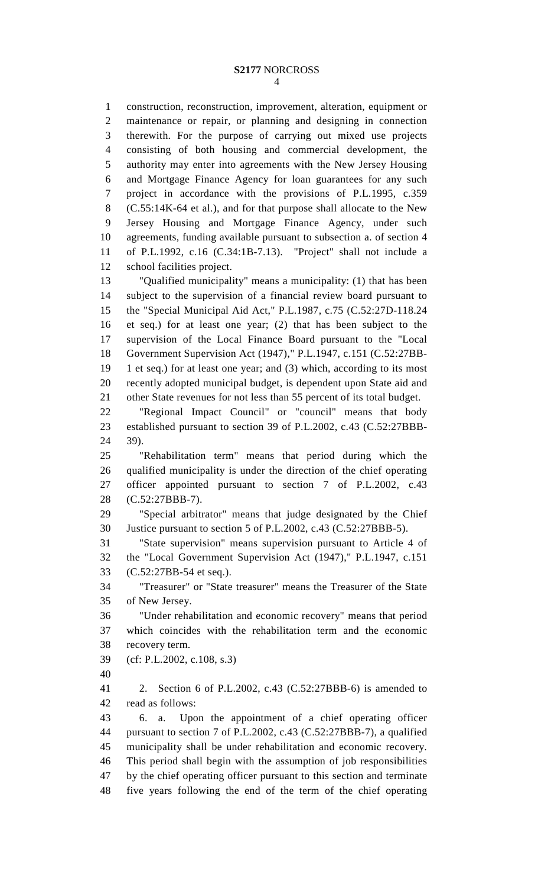1 construction, reconstruction, improvement, alteration, equipment or 2 maintenance or repair, or planning and designing in connection 3 therewith. For the purpose of carrying out mixed use projects 4 consisting of both housing and commercial development, the 5 authority may enter into agreements with the New Jersey Housing 6 and Mortgage Finance Agency for loan guarantees for any such 7 project in accordance with the provisions of P.L.1995, c.359 8 (C.55:14K-64 et al.), and for that purpose shall allocate to the New 9 Jersey Housing and Mortgage Finance Agency, under such 10 agreements, funding available pursuant to subsection a. of section 4 11 of P.L.1992, c.16 (C.34:1B-7.13). "Project" shall not include a 12 school facilities project.

13 "Qualified municipality" means a municipality: (1) that has been 14 subject to the supervision of a financial review board pursuant to 15 the "Special Municipal Aid Act," P.L.1987, c.75 (C.52:27D-118.24 16 et seq.) for at least one year; (2) that has been subject to the 17 supervision of the Local Finance Board pursuant to the "Local 18 Government Supervision Act (1947)," P.L.1947, c.151 (C.52:27BB-19 1 et seq.) for at least one year; and (3) which, according to its most 20 recently adopted municipal budget, is dependent upon State aid and 21 other State revenues for not less than 55 percent of its total budget.

22 "Regional Impact Council" or "council" means that body 23 established pursuant to section 39 of P.L.2002, c.43 (C.52:27BBB-24 39).

25 "Rehabilitation term" means that period during which the 26 qualified municipality is under the direction of the chief operating 27 officer appointed pursuant to section 7 of P.L.2002, c.43 28 (C.52:27BBB-7).

29 "Special arbitrator" means that judge designated by the Chief 30 Justice pursuant to section 5 of P.L.2002, c.43 (C.52:27BBB-5).

31 "State supervision" means supervision pursuant to Article 4 of 32 the "Local Government Supervision Act (1947)," P.L.1947, c.151 33 (C.52:27BB-54 et seq.).

34 "Treasurer" or "State treasurer" means the Treasurer of the State 35 of New Jersey.

36 "Under rehabilitation and economic recovery" means that period 37 which coincides with the rehabilitation term and the economic 38 recovery term.

- 39 (cf: P.L.2002, c.108, s.3)
- 40

41 2. Section 6 of P.L.2002, c.43 (C.52:27BBB-6) is amended to 42 read as follows:

43 6. a. Upon the appointment of a chief operating officer 44 pursuant to section 7 of P.L.2002, c.43 (C.52:27BBB-7), a qualified 45 municipality shall be under rehabilitation and economic recovery. 46 This period shall begin with the assumption of job responsibilities 47 by the chief operating officer pursuant to this section and terminate 48 five years following the end of the term of the chief operating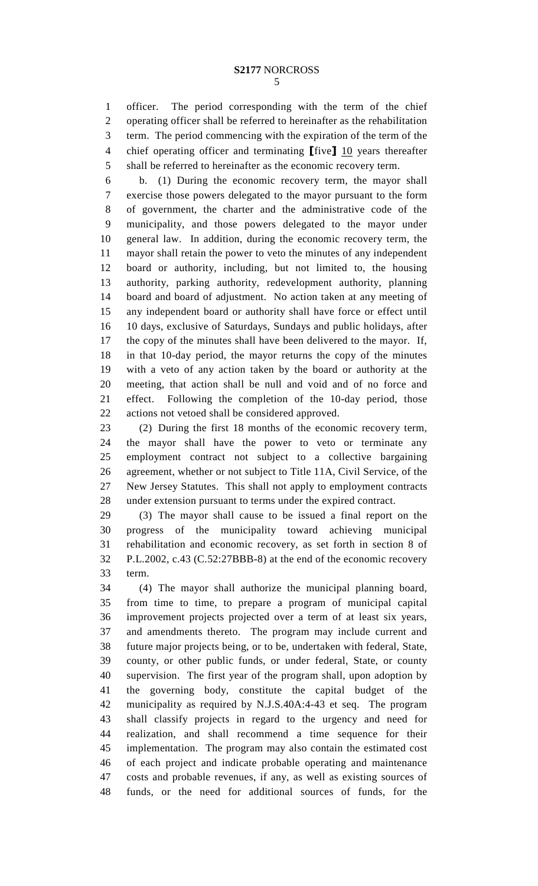1 officer. The period corresponding with the term of the chief 2 operating officer shall be referred to hereinafter as the rehabilitation 3 term. The period commencing with the expiration of the term of the 4 chief operating officer and terminating  $[\text{five}]$  10 years thereafter 5 shall be referred to hereinafter as the economic recovery term.

6 b. (1) During the economic recovery term, the mayor shall 7 exercise those powers delegated to the mayor pursuant to the form 8 of government, the charter and the administrative code of the 9 municipality, and those powers delegated to the mayor under 10 general law. In addition, during the economic recovery term, the 11 mayor shall retain the power to veto the minutes of any independent 12 board or authority, including, but not limited to, the housing 13 authority, parking authority, redevelopment authority, planning 14 board and board of adjustment. No action taken at any meeting of 15 any independent board or authority shall have force or effect until 16 10 days, exclusive of Saturdays, Sundays and public holidays, after 17 the copy of the minutes shall have been delivered to the mayor. If, 18 in that 10-day period, the mayor returns the copy of the minutes 19 with a veto of any action taken by the board or authority at the 20 meeting, that action shall be null and void and of no force and 21 effect. Following the completion of the 10-day period, those 22 actions not vetoed shall be considered approved.

23 (2) During the first 18 months of the economic recovery term, 24 the mayor shall have the power to veto or terminate any 25 employment contract not subject to a collective bargaining 26 agreement, whether or not subject to Title 11A, Civil Service, of the 27 New Jersey Statutes. This shall not apply to employment contracts 28 under extension pursuant to terms under the expired contract.

29 (3) The mayor shall cause to be issued a final report on the 30 progress of the municipality toward achieving municipal 31 rehabilitation and economic recovery, as set forth in section 8 of 32 P.L.2002, c.43 (C.52:27BBB-8) at the end of the economic recovery 33 term.

34 (4) The mayor shall authorize the municipal planning board, 35 from time to time, to prepare a program of municipal capital 36 improvement projects projected over a term of at least six years, 37 and amendments thereto. The program may include current and 38 future major projects being, or to be, undertaken with federal, State, 39 county, or other public funds, or under federal, State, or county 40 supervision. The first year of the program shall, upon adoption by 41 the governing body, constitute the capital budget of the 42 municipality as required by N.J.S.40A:4-43 et seq. The program 43 shall classify projects in regard to the urgency and need for 44 realization, and shall recommend a time sequence for their 45 implementation. The program may also contain the estimated cost 46 of each project and indicate probable operating and maintenance 47 costs and probable revenues, if any, as well as existing sources of 48 funds, or the need for additional sources of funds, for the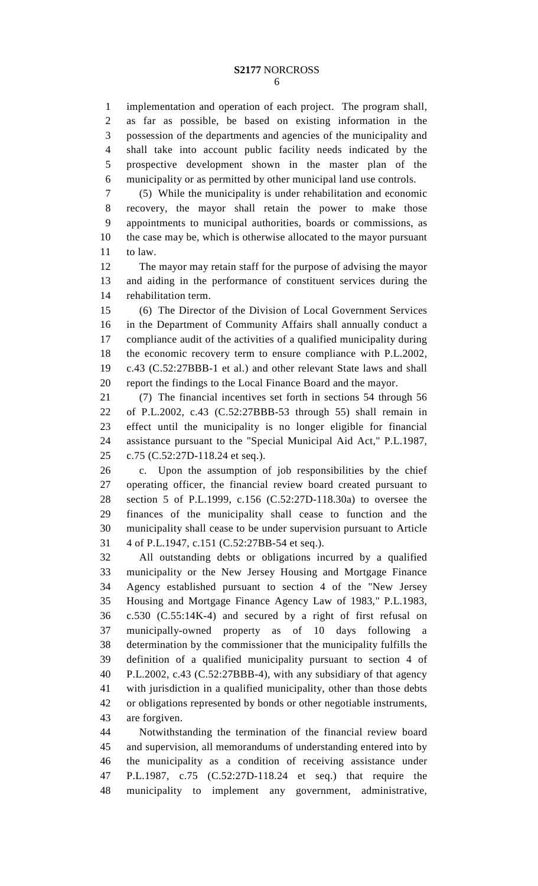1 implementation and operation of each project. The program shall, 2 as far as possible, be based on existing information in the 3 possession of the departments and agencies of the municipality and 4 shall take into account public facility needs indicated by the 5 prospective development shown in the master plan of the 6 municipality or as permitted by other municipal land use controls.

7 (5) While the municipality is under rehabilitation and economic 8 recovery, the mayor shall retain the power to make those 9 appointments to municipal authorities, boards or commissions, as 10 the case may be, which is otherwise allocated to the mayor pursuant 11 to law.

12 The mayor may retain staff for the purpose of advising the mayor 13 and aiding in the performance of constituent services during the 14 rehabilitation term.

15 (6) The Director of the Division of Local Government Services 16 in the Department of Community Affairs shall annually conduct a 17 compliance audit of the activities of a qualified municipality during 18 the economic recovery term to ensure compliance with P.L.2002, 19 c.43 (C.52:27BBB-1 et al.) and other relevant State laws and shall 20 report the findings to the Local Finance Board and the mayor.

21 (7) The financial incentives set forth in sections 54 through 56 22 of P.L.2002, c.43 (C.52:27BBB-53 through 55) shall remain in 23 effect until the municipality is no longer eligible for financial 24 assistance pursuant to the "Special Municipal Aid Act," P.L.1987, 25 c.75 (C.52:27D-118.24 et seq.).

26 c. Upon the assumption of job responsibilities by the chief 27 operating officer, the financial review board created pursuant to 28 section 5 of P.L.1999, c.156 (C.52:27D-118.30a) to oversee the 29 finances of the municipality shall cease to function and the 30 municipality shall cease to be under supervision pursuant to Article 31 4 of P.L.1947, c.151 (C.52:27BB-54 et seq.).

32 All outstanding debts or obligations incurred by a qualified 33 municipality or the New Jersey Housing and Mortgage Finance 34 Agency established pursuant to section 4 of the "New Jersey 35 Housing and Mortgage Finance Agency Law of 1983," P.L.1983, 36 c.530 (C.55:14K-4) and secured by a right of first refusal on 37 municipally-owned property as of 10 days following a 38 determination by the commissioner that the municipality fulfills the 39 definition of a qualified municipality pursuant to section 4 of 40 P.L.2002, c.43 (C.52:27BBB-4), with any subsidiary of that agency 41 with jurisdiction in a qualified municipality, other than those debts 42 or obligations represented by bonds or other negotiable instruments, 43 are forgiven.

44 Notwithstanding the termination of the financial review board 45 and supervision, all memorandums of understanding entered into by 46 the municipality as a condition of receiving assistance under 47 P.L.1987, c.75 (C.52:27D-118.24 et seq.) that require the 48 municipality to implement any government, administrative,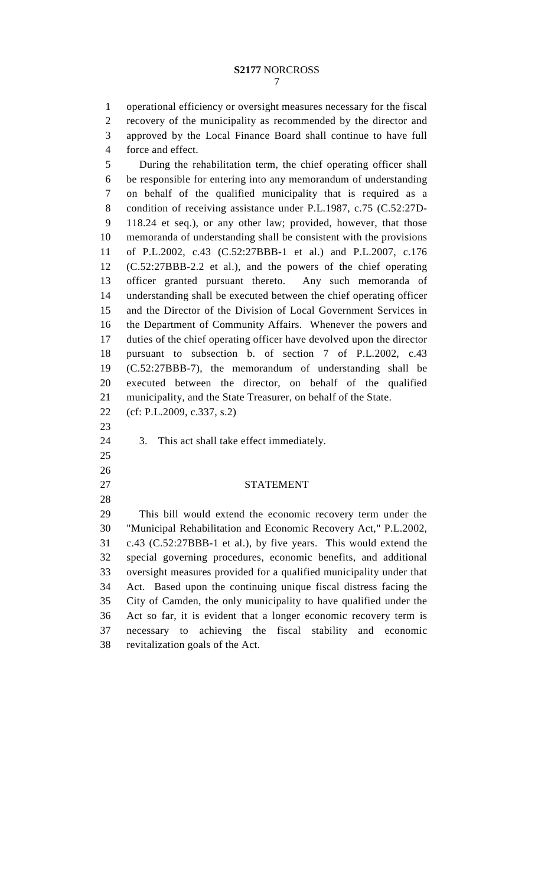1 operational efficiency or oversight measures necessary for the fiscal 2 recovery of the municipality as recommended by the director and 3 approved by the Local Finance Board shall continue to have full 4 force and effect.

5 During the rehabilitation term, the chief operating officer shall 6 be responsible for entering into any memorandum of understanding 7 on behalf of the qualified municipality that is required as a 8 condition of receiving assistance under P.L.1987, c.75 (C.52:27D-9 118.24 et seq.), or any other law; provided, however, that those 10 memoranda of understanding shall be consistent with the provisions 11 of P.L.2002, c.43 (C.52:27BBB-1 et al.) and P.L.2007, c.176 12 (C.52:27BBB-2.2 et al.), and the powers of the chief operating 13 officer granted pursuant thereto. Any such memoranda of 14 understanding shall be executed between the chief operating officer 15 and the Director of the Division of Local Government Services in 16 the Department of Community Affairs. Whenever the powers and 17 duties of the chief operating officer have devolved upon the director 18 pursuant to subsection b. of section 7 of P.L.2002, c.43 19 (C.52:27BBB-7), the memorandum of understanding shall be 20 executed between the director, on behalf of the qualified 21 municipality, and the State Treasurer, on behalf of the State. 22 (cf: P.L.2009, c.337, s.2) 23 24 3. This act shall take effect immediately.

25 26

28

#### 27 STATEMENT

29 This bill would extend the economic recovery term under the 30 "Municipal Rehabilitation and Economic Recovery Act," P.L.2002, 31 c.43 (C.52:27BBB-1 et al.), by five years. This would extend the 32 special governing procedures, economic benefits, and additional 33 oversight measures provided for a qualified municipality under that 34 Act. Based upon the continuing unique fiscal distress facing the 35 City of Camden, the only municipality to have qualified under the 36 Act so far, it is evident that a longer economic recovery term is 37 necessary to achieving the fiscal stability and economic 38 revitalization goals of the Act.